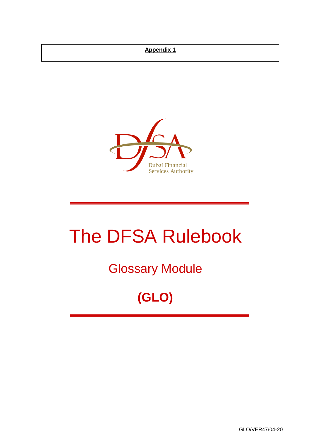#### **Appendix 1**



# The DFSA Rulebook

# Glossary Module

# **(GLO)**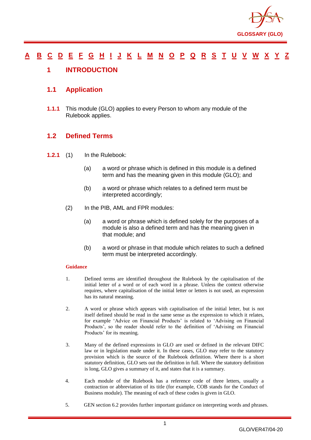

#### <u>[A](#page-2-0) [B](#page-7-0) [C](#page-9-0) [D](#page-18-0) [E](#page-22-0) [F](#page-24-0) [G](#page-27-0) [H](#page-31-0) [I](#page-32-0) [J](#page-37-0) [K](#page-37-1) [L](#page-38-0) [M](#page-41-0) [N](#page-44-0) [O](#page-46-0) [P](#page-48-0) [Q](#page-54-0) [R](#page-55-0) [S](#page-60-0) [T](#page-65-0) [U](#page-67-0) [V](#page-68-0) [W](#page-69-0) [X](#page-70-0) [Y](#page-71-0) [Z](#page-72-0)</u>

#### <span id="page-1-0"></span>**1 INTRODUCTION**

#### **1.1 Application**

**1.1.1** This module (GLO) applies to every Person to whom any module of the Rulebook applies.

#### **1.2 Defined Terms**

- **1.2.1** (1) In the Rulebook:
	- (a) a word or phrase which is defined in this module is a defined term and has the meaning given in this module (GLO); and
	- (b) a word or phrase which relates to a defined term must be interpreted accordingly;
	- (2) In the PIB, AML and FPR modules:
		- (a) a word or phrase which is defined solely for the purposes of a module is also a defined term and has the meaning given in that module; and
		- (b) a word or phrase in that module which relates to such a defined term must be interpreted accordingly.

#### **Guidance**

- 1. Defined terms are identified throughout the Rulebook by the capitalisation of the initial letter of a word or of each word in a phrase. Unless the context otherwise requires, where capitalisation of the initial letter or letters is not used, an expression has its natural meaning.
- 2. A word or phrase which appears with capitalisation of the initial letter, but is not itself defined should be read in the same sense as the expression to which it relates, for example 'Advice on Financial Products' is related to 'Advising on Financial Products', so the reader should refer to the definition of 'Advising on Financial Products' for its meaning.
- 3. Many of the defined expressions in GLO are used or defined in the relevant DIFC law or in legislation made under it. In these cases, GLO may refer to the statutory provision which is the source of the Rulebook definition. Where there is a short statutory definition, GLO sets out the definition in full. Where the statutory definition is long, GLO gives a summary of it, and states that it is a summary.
- 4. Each module of the Rulebook has a reference code of three letters, usually a contraction or abbreviation of its title (for example, COB stands for the Conduct of Business module). The meaning of each of these codes is given in GLO.
- 5. GEN section 6.2 provides further important guidance on interpreting words and phrases.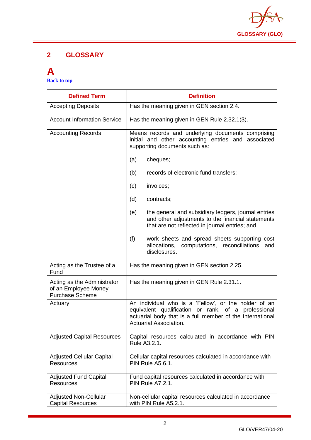

#### **2 GLOSSARY**

#### <span id="page-2-0"></span>**A [Back to top](#page-1-0)**

| <b>Defined Term</b>                                                           | <b>Definition</b>                                                                                                                                                                                  |
|-------------------------------------------------------------------------------|----------------------------------------------------------------------------------------------------------------------------------------------------------------------------------------------------|
| <b>Accepting Deposits</b>                                                     | Has the meaning given in GEN section 2.4.                                                                                                                                                          |
| <b>Account Information Service</b>                                            | Has the meaning given in GEN Rule 2.32.1(3).                                                                                                                                                       |
| <b>Accounting Records</b>                                                     | Means records and underlying documents comprising<br>initial and other accounting entries and associated<br>supporting documents such as:                                                          |
|                                                                               | (a)<br>cheques;                                                                                                                                                                                    |
|                                                                               | (b)<br>records of electronic fund transfers;                                                                                                                                                       |
|                                                                               | invoices;<br>(c)                                                                                                                                                                                   |
|                                                                               | (d)<br>contracts;                                                                                                                                                                                  |
|                                                                               | the general and subsidiary ledgers, journal entries<br>(e)<br>and other adjustments to the financial statements<br>that are not reflected in journal entries; and                                  |
|                                                                               | (f)<br>work sheets and spread sheets supporting cost<br>allocations, computations, reconciliations<br>and<br>disclosures.                                                                          |
| Acting as the Trustee of a<br>Fund                                            | Has the meaning given in GEN section 2.25.                                                                                                                                                         |
| Acting as the Administrator<br>of an Employee Money<br><b>Purchase Scheme</b> | Has the meaning given in GEN Rule 2.31.1.                                                                                                                                                          |
| Actuary                                                                       | An individual who is a 'Fellow', or the holder of an<br>equivalent qualification or rank, of a professional<br>actuarial body that is a full member of the International<br>Actuarial Association. |
| <b>Adjusted Capital Resources</b>                                             | Capital resources calculated in accordance with PIN<br>Rule A3.2.1.                                                                                                                                |
| <b>Adjusted Cellular Capital</b><br>Resources                                 | Cellular capital resources calculated in accordance with<br><b>PIN Rule A5.6.1.</b>                                                                                                                |
| <b>Adjusted Fund Capital</b><br>Resources                                     | Fund capital resources calculated in accordance with<br><b>PIN Rule A7.2.1.</b>                                                                                                                    |
| <b>Adjusted Non-Cellular</b><br><b>Capital Resources</b>                      | Non-cellular capital resources calculated in accordance<br>with PIN Rule A5.2.1.                                                                                                                   |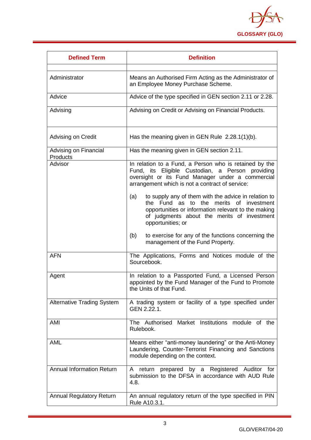

| <b>Defined Term</b>               | <b>Definition</b>                                                                                                                                                                                                                 |
|-----------------------------------|-----------------------------------------------------------------------------------------------------------------------------------------------------------------------------------------------------------------------------------|
| Administrator                     | Means an Authorised Firm Acting as the Administrator of<br>an Employee Money Purchase Scheme.                                                                                                                                     |
| Advice                            | Advice of the type specified in GEN section 2.11 or 2.28.                                                                                                                                                                         |
| Advising                          | Advising on Credit or Advising on Financial Products.                                                                                                                                                                             |
| Advising on Credit                | Has the meaning given in GEN Rule $2.28.1(1)(b)$ .                                                                                                                                                                                |
| Advising on Financial<br>Products | Has the meaning given in GEN section 2.11.                                                                                                                                                                                        |
| Advisor                           | In relation to a Fund, a Person who is retained by the<br>Fund, its Eligible Custodian, a Person<br>providing<br>oversight or its Fund Manager under a commercial<br>arrangement which is not a contract of service:              |
|                                   | to supply any of them with the advice in relation to<br>(a)<br>the Fund as to the merits of investment<br>opportunities or information relevant to the making<br>of judgments about the merits of investment<br>opportunities; or |
|                                   | (b)<br>to exercise for any of the functions concerning the<br>management of the Fund Property.                                                                                                                                    |
| <b>AFN</b>                        | The Applications, Forms and Notices module of the<br>Sourcebook.                                                                                                                                                                  |
| Agent                             | In relation to a Passported Fund, a Licensed Person<br>appointed by the Fund Manager of the Fund to Promote<br>the Units of that Fund.                                                                                            |
| <b>Alternative Trading System</b> | A trading system or facility of a type specified under<br>GEN 2.22.1.                                                                                                                                                             |
| AMI                               | The Authorised Market Institutions module of the<br>Rulebook.                                                                                                                                                                     |
| <b>AML</b>                        | Means either "anti-money laundering" or the Anti-Money<br>Laundering, Counter-Terrorist Financing and Sanctions<br>module depending on the context.                                                                               |
| <b>Annual Information Return</b>  | prepared by a Registered Auditor for<br>A<br>return<br>submission to the DFSA in accordance with AUD Rule<br>4.8.                                                                                                                 |
| <b>Annual Regulatory Return</b>   | An annual regulatory return of the type specified in PIN<br>Rule A10.3.1.                                                                                                                                                         |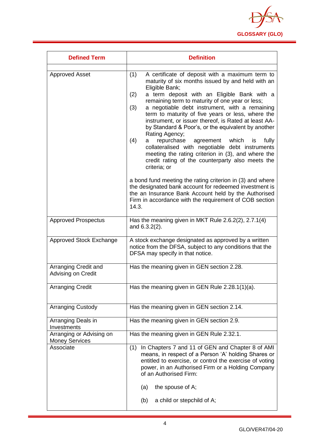

| <b>Defined Term</b>                               | <b>Definition</b>                                                                                                                                                                                                                                                                                                                                                                                                                                                                                                                                                                                                                                                                                                                                                                                                                                                                                                                                                         |
|---------------------------------------------------|---------------------------------------------------------------------------------------------------------------------------------------------------------------------------------------------------------------------------------------------------------------------------------------------------------------------------------------------------------------------------------------------------------------------------------------------------------------------------------------------------------------------------------------------------------------------------------------------------------------------------------------------------------------------------------------------------------------------------------------------------------------------------------------------------------------------------------------------------------------------------------------------------------------------------------------------------------------------------|
| <b>Approved Asset</b>                             | (1)<br>A certificate of deposit with a maximum term to<br>maturity of six months issued by and held with an<br>Eligible Bank;<br>a term deposit with an Eligible Bank with a<br>(2)<br>remaining term to maturity of one year or less;<br>a negotiable debt instrument, with a remaining<br>(3)<br>term to maturity of five years or less, where the<br>instrument, or issuer thereof, is Rated at least AA-<br>by Standard & Poor's, or the equivalent by another<br>Rating Agency;<br>repurchase agreement which is<br>(4)<br>fully<br>a<br>collateralised with negotiable debt instruments<br>meeting the rating criterion in (3), and where the<br>credit rating of the counterparty also meets the<br>criteria; or<br>a bond fund meeting the rating criterion in (3) and where<br>the designated bank account for redeemed investment is<br>the an Insurance Bank Account held by the Authorised<br>Firm in accordance with the requirement of COB section<br>14.3. |
| <b>Approved Prospectus</b>                        | Has the meaning given in MKT Rule 2.6.2(2), 2.7.1(4)<br>and $6.3.2(2)$ .                                                                                                                                                                                                                                                                                                                                                                                                                                                                                                                                                                                                                                                                                                                                                                                                                                                                                                  |
| <b>Approved Stock Exchange</b>                    | A stock exchange designated as approved by a written<br>notice from the DFSA, subject to any conditions that the<br>DFSA may specify in that notice.                                                                                                                                                                                                                                                                                                                                                                                                                                                                                                                                                                                                                                                                                                                                                                                                                      |
| Arranging Credit and<br>Advising on Credit        | Has the meaning given in GEN section 2.28.                                                                                                                                                                                                                                                                                                                                                                                                                                                                                                                                                                                                                                                                                                                                                                                                                                                                                                                                |
| <b>Arranging Credit</b>                           | Has the meaning given in GEN Rule $2.28.1(1)(a)$ .                                                                                                                                                                                                                                                                                                                                                                                                                                                                                                                                                                                                                                                                                                                                                                                                                                                                                                                        |
| <b>Arranging Custody</b>                          | Has the meaning given in GEN section 2.14.                                                                                                                                                                                                                                                                                                                                                                                                                                                                                                                                                                                                                                                                                                                                                                                                                                                                                                                                |
| Arranging Deals in<br>Investments                 | Has the meaning given in GEN section 2.9.                                                                                                                                                                                                                                                                                                                                                                                                                                                                                                                                                                                                                                                                                                                                                                                                                                                                                                                                 |
| Arranging or Advising on<br><b>Money Services</b> | Has the meaning given in GEN Rule 2.32.1.                                                                                                                                                                                                                                                                                                                                                                                                                                                                                                                                                                                                                                                                                                                                                                                                                                                                                                                                 |
| Associate                                         | (1) In Chapters 7 and 11 of GEN and Chapter 8 of AMI<br>means, in respect of a Person 'A' holding Shares or<br>entitled to exercise, or control the exercise of voting<br>power, in an Authorised Firm or a Holding Company<br>of an Authorised Firm:<br>the spouse of A;<br>(a)<br>a child or stepchild of A;<br>(b)                                                                                                                                                                                                                                                                                                                                                                                                                                                                                                                                                                                                                                                     |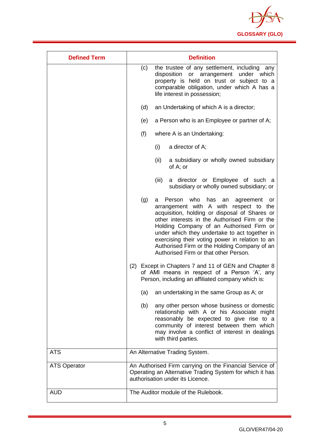

| <b>Defined Term</b> | <b>Definition</b>                                                                                                                                                                                                                                                                                                                                                                                                                              |
|---------------------|------------------------------------------------------------------------------------------------------------------------------------------------------------------------------------------------------------------------------------------------------------------------------------------------------------------------------------------------------------------------------------------------------------------------------------------------|
|                     | the trustee of any settlement, including<br>(c)<br>any<br>disposition<br>or arrangement<br>under<br>which<br>property is held on trust or subject to a<br>comparable obligation, under which A has a<br>life interest in possession;                                                                                                                                                                                                           |
|                     | (d)<br>an Undertaking of which A is a director;                                                                                                                                                                                                                                                                                                                                                                                                |
|                     | a Person who is an Employee or partner of A;<br>(e)                                                                                                                                                                                                                                                                                                                                                                                            |
|                     | (f)<br>where A is an Undertaking:                                                                                                                                                                                                                                                                                                                                                                                                              |
|                     | (i)<br>a director of A;                                                                                                                                                                                                                                                                                                                                                                                                                        |
|                     | (ii)<br>a subsidiary or wholly owned subsidiary<br>of A; or                                                                                                                                                                                                                                                                                                                                                                                    |
|                     | a director or Employee of such a<br>(iii)<br>subsidiary or wholly owned subsidiary; or                                                                                                                                                                                                                                                                                                                                                         |
|                     | (g)<br>who<br>Person<br>has<br>agreement<br>a<br>an<br>or<br>arrangement with A with respect to the<br>acquisition, holding or disposal of Shares or<br>other interests in the Authorised Firm or the<br>Holding Company of an Authorised Firm or<br>under which they undertake to act together in<br>exercising their voting power in relation to an<br>Authorised Firm or the Holding Company of an<br>Authorised Firm or that other Person. |
|                     | Except in Chapters 7 and 11 of GEN and Chapter 8<br>(2)<br>of AMI means in respect of a Person 'A', any<br>Person, including an affiliated company which is:                                                                                                                                                                                                                                                                                   |
|                     | (a)<br>an undertaking in the same Group as A; or                                                                                                                                                                                                                                                                                                                                                                                               |
|                     | (b)<br>any other person whose business or domestic<br>relationship with A or his Associate might<br>reasonably be expected to give rise to a<br>community of interest between them which<br>may involve a conflict of interest in dealings<br>with third parties.                                                                                                                                                                              |
| <b>ATS</b>          | An Alternative Trading System.                                                                                                                                                                                                                                                                                                                                                                                                                 |
| <b>ATS Operator</b> | An Authorised Firm carrying on the Financial Service of<br>Operating an Alternative Trading System for which it has<br>authorisation under its Licence.                                                                                                                                                                                                                                                                                        |
| <b>AUD</b>          | The Auditor module of the Rulebook.                                                                                                                                                                                                                                                                                                                                                                                                            |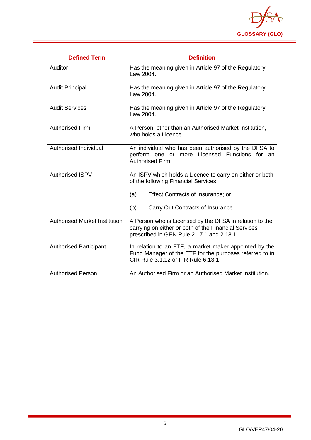

| <b>Defined Term</b>                  | <b>Definition</b>                                                                                                                                            |
|--------------------------------------|--------------------------------------------------------------------------------------------------------------------------------------------------------------|
| Auditor                              | Has the meaning given in Article 97 of the Regulatory<br>Law 2004.                                                                                           |
| <b>Audit Principal</b>               | Has the meaning given in Article 97 of the Regulatory<br>Law 2004.                                                                                           |
| <b>Audit Services</b>                | Has the meaning given in Article 97 of the Regulatory<br>Law 2004.                                                                                           |
| <b>Authorised Firm</b>               | A Person, other than an Authorised Market Institution,<br>who holds a Licence.                                                                               |
| Authorised Individual                | An individual who has been authorised by the DFSA to<br>perform one or more Licensed Functions for an<br>Authorised Firm.                                    |
| <b>Authorised ISPV</b>               | An ISPV which holds a Licence to carry on either or both<br>of the following Financial Services:                                                             |
|                                      | Effect Contracts of Insurance; or<br>(a)                                                                                                                     |
|                                      | (b)<br>Carry Out Contracts of Insurance                                                                                                                      |
| <b>Authorised Market Institution</b> | A Person who is Licensed by the DFSA in relation to the<br>carrying on either or both of the Financial Services<br>prescribed in GEN Rule 2.17.1 and 2.18.1. |
| <b>Authorised Participant</b>        | In relation to an ETF, a market maker appointed by the<br>Fund Manager of the ETF for the purposes referred to in<br>CIR Rule 3.1.12 or IFR Rule 6.13.1.     |
| <b>Authorised Person</b>             | An Authorised Firm or an Authorised Market Institution.                                                                                                      |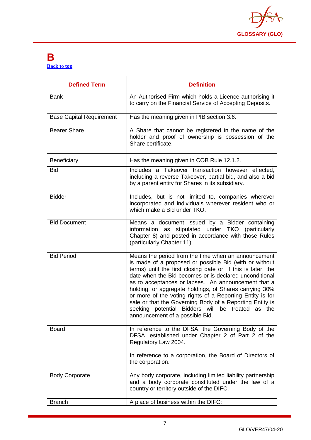

#### <span id="page-7-0"></span>**B [Back to top](#page-1-0)**

| <b>Defined Term</b>             | <b>Definition</b>                                                                                                                                                                                                                                                                                                                                                                                                                                                                                                                                                         |
|---------------------------------|---------------------------------------------------------------------------------------------------------------------------------------------------------------------------------------------------------------------------------------------------------------------------------------------------------------------------------------------------------------------------------------------------------------------------------------------------------------------------------------------------------------------------------------------------------------------------|
| <b>Bank</b>                     | An Authorised Firm which holds a Licence authorising it<br>to carry on the Financial Service of Accepting Deposits.                                                                                                                                                                                                                                                                                                                                                                                                                                                       |
| <b>Base Capital Requirement</b> | Has the meaning given in PIB section 3.6.                                                                                                                                                                                                                                                                                                                                                                                                                                                                                                                                 |
| <b>Bearer Share</b>             | A Share that cannot be registered in the name of the<br>holder and proof of ownership is possession of the<br>Share certificate.                                                                                                                                                                                                                                                                                                                                                                                                                                          |
| Beneficiary                     | Has the meaning given in COB Rule 12.1.2.                                                                                                                                                                                                                                                                                                                                                                                                                                                                                                                                 |
| <b>Bid</b>                      | Includes a Takeover transaction however effected,<br>including a reverse Takeover, partial bid, and also a bid<br>by a parent entity for Shares in its subsidiary.                                                                                                                                                                                                                                                                                                                                                                                                        |
| <b>Bidder</b>                   | Includes, but is not limited to, companies wherever<br>incorporated and individuals wherever resident who or<br>which make a Bid under TKO.                                                                                                                                                                                                                                                                                                                                                                                                                               |
| <b>Bid Document</b>             | Means a document issued by a Bidder containing<br>information as stipulated under TKO (particularly<br>Chapter 8) and posted in accordance with those Rules<br>(particularly Chapter 11).                                                                                                                                                                                                                                                                                                                                                                                 |
| <b>Bid Period</b>               | Means the period from the time when an announcement<br>is made of a proposed or possible Bid (with or without<br>terms) until the first closing date or, if this is later, the<br>date when the Bid becomes or is declared unconditional<br>as to acceptances or lapses. An announcement that a<br>holding, or aggregate holdings, of Shares carrying 30%<br>or more of the voting rights of a Reporting Entity is for<br>sale or that the Governing Body of a Reporting Entity is<br>seeking potential Bidders will be treated as the<br>announcement of a possible Bid. |
| <b>Board</b>                    | In reference to the DFSA, the Governing Body of the<br>DFSA, established under Chapter 2 of Part 2 of the<br>Regulatory Law 2004.<br>In reference to a corporation, the Board of Directors of<br>the corporation.                                                                                                                                                                                                                                                                                                                                                         |
| <b>Body Corporate</b>           | Any body corporate, including limited liability partnership<br>and a body corporate constituted under the law of a<br>country or territory outside of the DIFC.                                                                                                                                                                                                                                                                                                                                                                                                           |
| <b>Branch</b>                   | A place of business within the DIFC:                                                                                                                                                                                                                                                                                                                                                                                                                                                                                                                                      |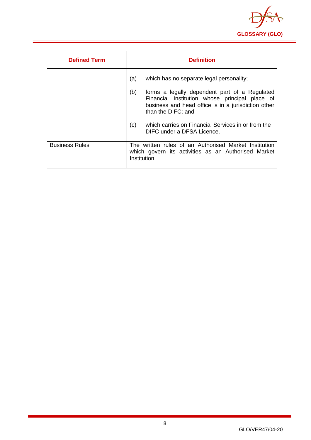

| <b>Defined Term</b>   | <b>Definition</b>                                                                                                                                                                   |
|-----------------------|-------------------------------------------------------------------------------------------------------------------------------------------------------------------------------------|
|                       | (a)<br>which has no separate legal personality;                                                                                                                                     |
|                       | (b)<br>forms a legally dependent part of a Regulated<br>Financial Institution whose principal place of<br>business and head office is in a jurisdiction other<br>than the DIFC; and |
|                       | which carries on Financial Services in or from the<br>(c)<br>DIFC under a DFSA Licence.                                                                                             |
| <b>Business Rules</b> | The written rules of an Authorised Market Institution<br>which govern its activities as an Authorised Market<br>Institution.                                                        |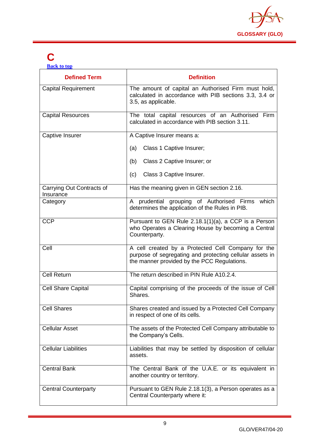

# <span id="page-9-0"></span>**C**

**[Back to top](#page-1-0)**

| <b>Defined Term</b>                    | <b>Definition</b>                                                                                                                                             |
|----------------------------------------|---------------------------------------------------------------------------------------------------------------------------------------------------------------|
| <b>Capital Requirement</b>             | The amount of capital an Authorised Firm must hold,<br>calculated in accordance with PIB sections 3.3, 3.4 or<br>3.5, as applicable.                          |
| <b>Capital Resources</b>               | The total capital resources of an Authorised Firm<br>calculated in accordance with PIB section 3.11.                                                          |
| Captive Insurer                        | A Captive Insurer means a:                                                                                                                                    |
|                                        | Class 1 Captive Insurer;<br>(a)                                                                                                                               |
|                                        | Class 2 Captive Insurer; or<br>(b)                                                                                                                            |
|                                        | Class 3 Captive Insurer.<br>(c)                                                                                                                               |
| Carrying Out Contracts of<br>Insurance | Has the meaning given in GEN section 2.16.                                                                                                                    |
| Category                               | A prudential grouping of Authorised Firms<br>which<br>determines the application of the Rules in PIB.                                                         |
| <b>CCP</b>                             | Pursuant to GEN Rule 2.18.1(1)(a), a CCP is a Person<br>who Operates a Clearing House by becoming a Central<br>Counterparty.                                  |
| Cell                                   | A cell created by a Protected Cell Company for the<br>purpose of segregating and protecting cellular assets in<br>the manner provided by the PCC Regulations. |
| <b>Cell Return</b>                     | The return described in PIN Rule A10.2.4.                                                                                                                     |
| <b>Cell Share Capital</b>              | Capital comprising of the proceeds of the issue of Cell<br>Shares.                                                                                            |
| <b>Cell Shares</b>                     | Shares created and issued by a Protected Cell Company<br>in respect of one of its cells.                                                                      |
| <b>Cellular Asset</b>                  | The assets of the Protected Cell Company attributable to<br>the Company's Cells.                                                                              |
| <b>Cellular Liabilities</b>            | Liabilities that may be settled by disposition of cellular<br>assets.                                                                                         |
| <b>Central Bank</b>                    | The Central Bank of the U.A.E. or its equivalent in<br>another country or territory.                                                                          |
| <b>Central Counterparty</b>            | Pursuant to GEN Rule 2.18.1(3), a Person operates as a<br>Central Counterparty where it:                                                                      |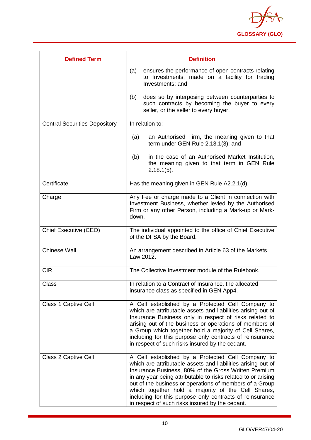

| <b>Defined Term</b>                  | <b>Definition</b>                                                                                                                                                                                                                                                                                                                                                                                                                                                          |
|--------------------------------------|----------------------------------------------------------------------------------------------------------------------------------------------------------------------------------------------------------------------------------------------------------------------------------------------------------------------------------------------------------------------------------------------------------------------------------------------------------------------------|
|                                      | (a)<br>ensures the performance of open contracts relating<br>to Investments, made on a facility for trading<br>Investments; and                                                                                                                                                                                                                                                                                                                                            |
|                                      | does so by interposing between counterparties to<br>(b)<br>such contracts by becoming the buyer to every<br>seller, or the seller to every buyer.                                                                                                                                                                                                                                                                                                                          |
| <b>Central Securities Depository</b> | In relation to:                                                                                                                                                                                                                                                                                                                                                                                                                                                            |
|                                      | an Authorised Firm, the meaning given to that<br>(a)<br>term under GEN Rule 2.13.1(3); and                                                                                                                                                                                                                                                                                                                                                                                 |
|                                      | in the case of an Authorised Market Institution,<br>(b)<br>the meaning given to that term in GEN Rule<br>$2.18.1(5)$ .                                                                                                                                                                                                                                                                                                                                                     |
| Certificate                          | Has the meaning given in GEN Rule A2.2.1(d).                                                                                                                                                                                                                                                                                                                                                                                                                               |
| Charge                               | Any Fee or charge made to a Client in connection with<br>Investment Business, whether levied by the Authorised<br>Firm or any other Person, including a Mark-up or Mark-<br>down.                                                                                                                                                                                                                                                                                          |
| Chief Executive (CEO)                | The individual appointed to the office of Chief Executive<br>of the DFSA by the Board.                                                                                                                                                                                                                                                                                                                                                                                     |
| <b>Chinese Wall</b>                  | An arrangement described in Article 63 of the Markets<br>Law 2012.                                                                                                                                                                                                                                                                                                                                                                                                         |
| <b>CIR</b>                           | The Collective Investment module of the Rulebook.                                                                                                                                                                                                                                                                                                                                                                                                                          |
| <b>Class</b>                         | In relation to a Contract of Insurance, the allocated<br>insurance class as specified in GEN App4.                                                                                                                                                                                                                                                                                                                                                                         |
| <b>Class 1 Captive Cell</b>          | A Cell established by a Protected Cell Company to<br>which are attributable assets and liabilities arising out of<br>Insurance Business only in respect of risks related to<br>arising out of the business or operations of members of<br>a Group which together hold a majority of Cell Shares,<br>including for this purpose only contracts of reinsurance<br>in respect of such risks insured by the cedant.                                                            |
| Class 2 Captive Cell                 | A Cell established by a Protected Cell Company to<br>which are attributable assets and liabilities arising out of<br>Insurance Business, 80% of the Gross Written Premium<br>in any year being attributable to risks related to or arising<br>out of the business or operations of members of a Group<br>which together hold a majority of the Cell Shares,<br>including for this purpose only contracts of reinsurance<br>in respect of such risks insured by the cedant. |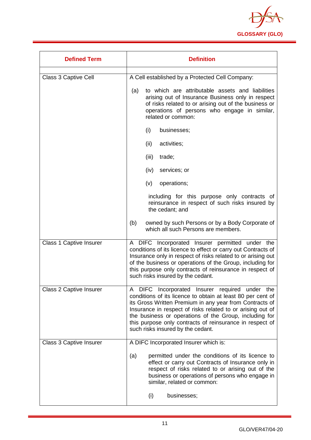

| <b>Defined Term</b>            | <b>Definition</b>                                                                                                                                                                                                                                                                                                                                                                                    |
|--------------------------------|------------------------------------------------------------------------------------------------------------------------------------------------------------------------------------------------------------------------------------------------------------------------------------------------------------------------------------------------------------------------------------------------------|
| Class 3 Captive Cell           | A Cell established by a Protected Cell Company:                                                                                                                                                                                                                                                                                                                                                      |
|                                | to which are attributable assets and liabilities<br>(a)<br>arising out of Insurance Business only in respect<br>of risks related to or arising out of the business or<br>operations of persons who engage in similar,<br>related or common:                                                                                                                                                          |
|                                | (i)<br>businesses;                                                                                                                                                                                                                                                                                                                                                                                   |
|                                | (ii)<br>activities;                                                                                                                                                                                                                                                                                                                                                                                  |
|                                | (iii)<br>trade;                                                                                                                                                                                                                                                                                                                                                                                      |
|                                | (iv)<br>services; or                                                                                                                                                                                                                                                                                                                                                                                 |
|                                | (v)<br>operations;                                                                                                                                                                                                                                                                                                                                                                                   |
|                                | including for this purpose only contracts of<br>reinsurance in respect of such risks insured by<br>the cedant; and                                                                                                                                                                                                                                                                                   |
|                                | (b)<br>owned by such Persons or by a Body Corporate of<br>which all such Persons are members.                                                                                                                                                                                                                                                                                                        |
| <b>Class 1 Captive Insurer</b> | A DIFC Incorporated Insurer permitted under the<br>conditions of its licence to effect or carry out Contracts of<br>Insurance only in respect of risks related to or arising out<br>of the business or operations of the Group, including for<br>this purpose only contracts of reinsurance in respect of<br>such risks insured by the cedant.                                                       |
| <b>Class 2 Captive Insurer</b> | DIFC Incorporated Insurer required under the<br>A<br>conditions of its licence to obtain at least 80 per cent of<br>its Gross Written Premium in any year from Contracts of<br>Insurance in respect of risks related to or arising out of<br>the business or operations of the Group, including for<br>this purpose only contracts of reinsurance in respect of<br>such risks insured by the cedant. |
| <b>Class 3 Captive Insurer</b> | A DIFC Incorporated Insurer which is:                                                                                                                                                                                                                                                                                                                                                                |
|                                | permitted under the conditions of its licence to<br>(a)<br>effect or carry out Contracts of Insurance only in<br>respect of risks related to or arising out of the<br>business or operations of persons who engage in<br>similar, related or common:                                                                                                                                                 |
|                                | businesses;<br>(i)                                                                                                                                                                                                                                                                                                                                                                                   |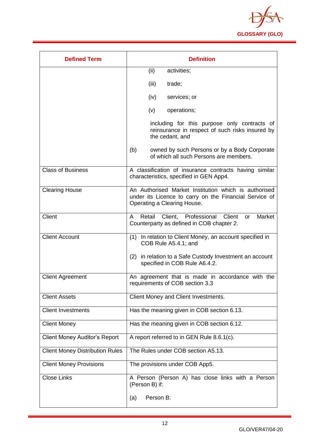

| <b>Defined Term</b>                    | <b>Definition</b>                                                                                                                             |
|----------------------------------------|-----------------------------------------------------------------------------------------------------------------------------------------------|
|                                        | (ii)<br>activities;                                                                                                                           |
|                                        | (iii)<br>trade;                                                                                                                               |
|                                        | (iv)<br>services; or                                                                                                                          |
|                                        | operations;<br>(v)                                                                                                                            |
|                                        | including for this purpose only contracts of<br>reinsurance in respect of such risks insured by<br>the cedant, and                            |
|                                        | (b)<br>owned by such Persons or by a Body Corporate<br>of which all such Persons are members.                                                 |
| <b>Class of Business</b>               | A classification of insurance contracts having similar<br>characteristics, specified in GEN App4.                                             |
| <b>Clearing House</b>                  | An Authorised Market Institution which is authorised<br>under its Licence to carry on the Financial Service of<br>Operating a Clearing House. |
| Client                                 | Retail Client, Professional Client<br>Market<br>A<br><b>or</b><br>Counterparty as defined in COB chapter 2.                                   |
| <b>Client Account</b>                  | In relation to Client Money, an account specified in<br>(1)<br>COB Rule A5.4.1; and                                                           |
|                                        | (2) in relation to a Safe Custody Investment an account<br>specified in COB Rule A6.4.2.                                                      |
| <b>Client Agreement</b>                | An agreement that is made in accordance with the<br>requirements of COB section 3.3                                                           |
| <b>Client Assets</b>                   | Client Money and Client Investments.                                                                                                          |
| <b>Client Investments</b>              | Has the meaning given in COB section 6.13.                                                                                                    |
| <b>Client Money</b>                    | Has the meaning given in COB section 6.12.                                                                                                    |
| <b>Client Money Auditor's Report</b>   | A report referred to in GEN Rule 8.6.1(c).                                                                                                    |
| <b>Client Money Distribution Rules</b> | The Rules under COB section A5.13.                                                                                                            |
| <b>Client Money Provisions</b>         | The provisions under COB App5.                                                                                                                |
| <b>Close Links</b>                     | A Person (Person A) has close links with a Person<br>(Person B) if:                                                                           |
|                                        | Person B:<br>(a)                                                                                                                              |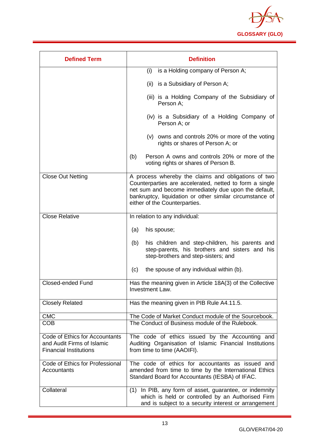

| <b>Defined Term</b>                                                                           | <b>Definition</b>                                                                                                                                                                                                                                                   |
|-----------------------------------------------------------------------------------------------|---------------------------------------------------------------------------------------------------------------------------------------------------------------------------------------------------------------------------------------------------------------------|
|                                                                                               | is a Holding company of Person A;<br>(i)                                                                                                                                                                                                                            |
|                                                                                               | (ii) is a Subsidiary of Person A;                                                                                                                                                                                                                                   |
|                                                                                               | (iii) is a Holding Company of the Subsidiary of<br>Person A;                                                                                                                                                                                                        |
|                                                                                               | (iv) is a Subsidiary of a Holding Company of<br>Person A; or                                                                                                                                                                                                        |
|                                                                                               | (v) owns and controls 20% or more of the voting<br>rights or shares of Person A; or                                                                                                                                                                                 |
|                                                                                               | Person A owns and controls 20% or more of the<br>(b)<br>voting rights or shares of Person B.                                                                                                                                                                        |
| <b>Close Out Netting</b>                                                                      | A process whereby the claims and obligations of two<br>Counterparties are accelerated, netted to form a single<br>net sum and become immediately due upon the default,<br>bankruptcy, liquidation or other similar circumstance of<br>either of the Counterparties. |
| <b>Close Relative</b>                                                                         | In relation to any individual:                                                                                                                                                                                                                                      |
|                                                                                               | (a)<br>his spouse;                                                                                                                                                                                                                                                  |
|                                                                                               | (b)<br>his children and step-children, his parents and<br>step-parents, his brothers and sisters and his<br>step-brothers and step-sisters; and                                                                                                                     |
|                                                                                               | the spouse of any individual within (b).<br>(c)                                                                                                                                                                                                                     |
| <b>Closed-ended Fund</b>                                                                      | Has the meaning given in Article 18A(3) of the Collective<br>Investment Law.                                                                                                                                                                                        |
| <b>Closely Related</b>                                                                        | Has the meaning given in PIB Rule A4.11.5.                                                                                                                                                                                                                          |
| <b>CMC</b>                                                                                    | The Code of Market Conduct module of the Sourcebook.                                                                                                                                                                                                                |
| <b>COB</b>                                                                                    | The Conduct of Business module of the Rulebook.                                                                                                                                                                                                                     |
| Code of Ethics for Accountants<br>and Audit Firms of Islamic<br><b>Financial Institutions</b> | The code of ethics issued by the Accounting and<br>Auditing Organisation of Islamic Financial Institutions<br>from time to time (AAOIFI).                                                                                                                           |
| Code of Ethics for Professional<br>Accountants                                                | The code of ethics for accountants as issued and<br>amended from time to time by the International Ethics<br>Standard Board for Accountants (IESBA) of IFAC.                                                                                                        |
| Collateral                                                                                    | In PIB, any form of asset, guarantee, or indemnity<br>(1)<br>which is held or controlled by an Authorised Firm<br>and is subject to a security interest or arrangement                                                                                              |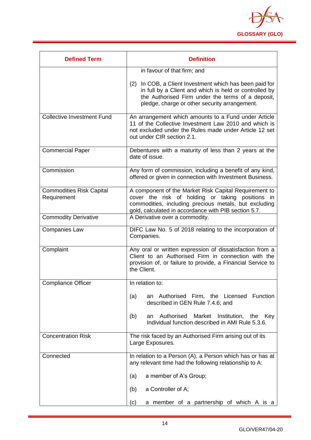

| <b>Defined Term</b>                            | <b>Definition</b>                                                                                                                                                                                                          |
|------------------------------------------------|----------------------------------------------------------------------------------------------------------------------------------------------------------------------------------------------------------------------------|
|                                                | in favour of that firm; and                                                                                                                                                                                                |
|                                                | (2) In COB, a Client Investment which has been paid for<br>in full by a Client and which is held or controlled by<br>the Authorised Firm under the terms of a deposit,<br>pledge, charge or other security arrangement.    |
| <b>Collective Investment Fund</b>              | An arrangement which amounts to a Fund under Article<br>11 of the Collective Investment Law 2010 and which is<br>not excluded under the Rules made under Article 12 set<br>out under CIR section 2.1.                      |
| <b>Commercial Paper</b>                        | Debentures with a maturity of less than 2 years at the<br>date of issue.                                                                                                                                                   |
| Commission                                     | Any form of commission, including a benefit of any kind,<br>offered or given in connection with Investment Business.                                                                                                       |
| <b>Commodities Risk Capital</b><br>Requirement | A component of the Market Risk Capital Requirement to<br>cover the risk of holding or taking positions in<br>commodities, including precious metals, but excluding<br>gold, calculated in accordance with PIB section 5.7. |
| <b>Commodity Derivative</b>                    | A Derivative over a commodity.                                                                                                                                                                                             |
| <b>Companies Law</b>                           | DIFC Law No. 5 of 2018 relating to the incorporation of<br>Companies.                                                                                                                                                      |
| Complaint                                      | Any oral or written expression of dissatisfaction from a<br>Client to an Authorised Firm in connection with the<br>provision of, or failure to provide, a Financial Service to<br>the Client.                              |
| <b>Compliance Officer</b>                      | In relation to:                                                                                                                                                                                                            |
|                                                | an Authorised Firm, the Licensed Function<br>(a)<br>described in GEN Rule 7.4.6; and                                                                                                                                       |
|                                                | Authorised<br>Market<br>Institution,<br>(b)<br>the<br>Key<br>an<br>Individual function described in AMI Rule 5.3.6.                                                                                                        |
| <b>Concentration Risk</b>                      | The risk faced by an Authorised Firm arising out of its<br>Large Exposures.                                                                                                                                                |
| Connected                                      | In relation to a Person (A), a Person which has or has at<br>any relevant time had the following relationship to A:                                                                                                        |
|                                                | a member of A's Group;<br>(a)                                                                                                                                                                                              |
|                                                | a Controller of A;<br>(b)                                                                                                                                                                                                  |
|                                                | a member of a partnership of which A is a<br>(c)                                                                                                                                                                           |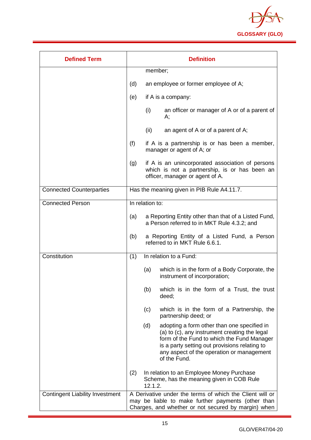

| <b>Defined Term</b>                    |     |                 | <b>Definition</b>                                                                                                                                                                                                                                        |
|----------------------------------------|-----|-----------------|----------------------------------------------------------------------------------------------------------------------------------------------------------------------------------------------------------------------------------------------------------|
|                                        |     | member;         |                                                                                                                                                                                                                                                          |
|                                        | (d) |                 | an employee or former employee of A;                                                                                                                                                                                                                     |
|                                        | (e) |                 | if A is a company:                                                                                                                                                                                                                                       |
|                                        |     | (i)             | an officer or manager of A or of a parent of<br>А;                                                                                                                                                                                                       |
|                                        |     | (ii)            | an agent of A or of a parent of A;                                                                                                                                                                                                                       |
|                                        | (f) |                 | if A is a partnership is or has been a member,<br>manager or agent of A; or                                                                                                                                                                              |
|                                        | (g) |                 | if A is an unincorporated association of persons<br>which is not a partnership, is or has been an<br>officer, manager or agent of A.                                                                                                                     |
| <b>Connected Counterparties</b>        |     |                 | Has the meaning given in PIB Rule A4.11.7.                                                                                                                                                                                                               |
| <b>Connected Person</b>                |     | In relation to: |                                                                                                                                                                                                                                                          |
|                                        | (a) |                 | a Reporting Entity other than that of a Listed Fund,<br>a Person referred to in MKT Rule 4.3.2; and                                                                                                                                                      |
|                                        | (b) |                 | a Reporting Entity of a Listed Fund, a Person<br>referred to in MKT Rule 6.6.1.                                                                                                                                                                          |
| Constitution                           | (1) |                 | In relation to a Fund:                                                                                                                                                                                                                                   |
|                                        |     | (a)             | which is in the form of a Body Corporate, the<br>instrument of incorporation;                                                                                                                                                                            |
|                                        |     | (b)             | which is in the form of a Trust, the trust<br>deed;                                                                                                                                                                                                      |
|                                        |     | (c)             | which is in the form of a Partnership, the<br>partnership deed; or                                                                                                                                                                                       |
|                                        |     | (d)             | adopting a form other than one specified in<br>(a) to (c), any instrument creating the legal<br>form of the Fund to which the Fund Manager<br>is a party setting out provisions relating to<br>any aspect of the operation or management<br>of the Fund. |
|                                        | (2) | 12.1.2.         | In relation to an Employee Money Purchase<br>Scheme, has the meaning given in COB Rule                                                                                                                                                                   |
| <b>Contingent Liability Investment</b> |     |                 | A Derivative under the terms of which the Client will or<br>may be liable to make further payments (other than<br>Charges, and whether or not secured by margin) when                                                                                    |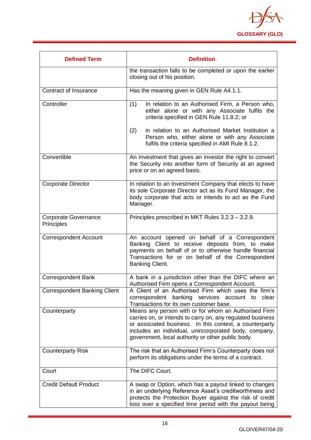

| <b>Defined Term</b>                       | <b>Definition</b>                                                                                                                                                                                                                                                                           |
|-------------------------------------------|---------------------------------------------------------------------------------------------------------------------------------------------------------------------------------------------------------------------------------------------------------------------------------------------|
|                                           | the transaction falls to be completed or upon the earlier<br>closing out of his position.                                                                                                                                                                                                   |
| Contract of Insurance                     | Has the meaning given in GEN Rule A4.1.1.                                                                                                                                                                                                                                                   |
| Controller                                | (1)<br>In relation to an Authorised Firm, a Person who,<br>either alone or with any Associate fulfils the<br>criteria specified in GEN Rule 11.8.2; or                                                                                                                                      |
|                                           | (2)<br>in relation to an Authorised Market Institution a<br>Person who, either alone or with any Associate<br>fulfils the criteria specified in AMI Rule 8.1.2.                                                                                                                             |
| Convertible                               | An Investment that gives an investor the right to convert<br>the Security into another form of Security at an agreed<br>price or on an agreed basis.                                                                                                                                        |
| <b>Corporate Director</b>                 | In relation to an Investment Company that elects to have<br>its sole Corporate Director act as its Fund Manager, the<br>body corporate that acts or intends to act as the Fund<br>Manager.                                                                                                  |
| <b>Corporate Governance</b><br>Principles | Principles prescribed in MKT Rules 3.2.3 - 3.2.9.                                                                                                                                                                                                                                           |
| <b>Correspondent Account</b>              | An account opened on behalf of a Correspondent<br>Banking Client to receive deposits from, to make<br>payments on behalf of or to otherwise handle financial<br>Transactions for or on behalf of the Correspondent<br>Banking Client.                                                       |
| <b>Correspondent Bank</b>                 | A bank in a jurisdiction other than the DIFC where an<br>Authorised Firm opens a Correspondent Account.                                                                                                                                                                                     |
| <b>Correspondent Banking Client</b>       | A Client of an Authorised Firm which uses the firm's<br>correspondent banking services account to<br>clear<br>Transactions for its own customer base.                                                                                                                                       |
| Counterparty                              | Means any person with or for whom an Authorised Firm<br>carries on, or intends to carry on, any regulated business<br>or associated business. In this context, a counterparty<br>includes an individual, unincorporated body, company,<br>government, local authority or other public body. |
| <b>Counterparty Risk</b>                  | The risk that an Authorised Firm's Counterparty does not<br>perform its obligations under the terms of a contract.                                                                                                                                                                          |
| Court                                     | The DIFC Court.                                                                                                                                                                                                                                                                             |
| <b>Credit Default Product</b>             | A swap or Option, which has a payout linked to changes<br>in an underlying Reference Asset's creditworthiness and<br>protects the Protection Buyer against the risk of credit<br>loss over a specified time period with the payout being                                                    |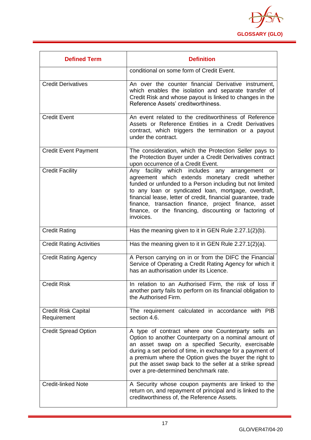

| <b>Defined Term</b>                       | <b>Definition</b>                                                                                                                                                                                                                                                                                                                                                                                                     |
|-------------------------------------------|-----------------------------------------------------------------------------------------------------------------------------------------------------------------------------------------------------------------------------------------------------------------------------------------------------------------------------------------------------------------------------------------------------------------------|
|                                           | conditional on some form of Credit Event.                                                                                                                                                                                                                                                                                                                                                                             |
| <b>Credit Derivatives</b>                 | An over the counter financial Derivative instrument,<br>which enables the isolation and separate transfer of<br>Credit Risk and whose payout is linked to changes in the<br>Reference Assets' creditworthiness.                                                                                                                                                                                                       |
| <b>Credit Event</b>                       | An event related to the creditworthiness of Reference<br>Assets or Reference Entities in a Credit Derivatives<br>contract, which triggers the termination or a payout<br>under the contract.                                                                                                                                                                                                                          |
| <b>Credit Event Payment</b>               | The consideration, which the Protection Seller pays to<br>the Protection Buyer under a Credit Derivatives contract<br>upon occurrence of a Credit Event.                                                                                                                                                                                                                                                              |
| <b>Credit Facility</b>                    | Any facility which includes any arrangement or<br>agreement which extends monetary credit whether<br>funded or unfunded to a Person including but not limited<br>to any loan or syndicated loan, mortgage, overdraft,<br>financial lease, letter of credit, financial guarantee, trade<br>finance, transaction finance, project finance, asset<br>finance, or the financing, discounting or factoring of<br>invoices. |
| <b>Credit Rating</b>                      | Has the meaning given to it in GEN Rule 2.27.1(2)(b).                                                                                                                                                                                                                                                                                                                                                                 |
| <b>Credit Rating Activities</b>           | Has the meaning given to it in GEN Rule 2.27.1(2)(a).                                                                                                                                                                                                                                                                                                                                                                 |
| <b>Credit Rating Agency</b>               | A Person carrying on in or from the DIFC the Financial<br>Service of Operating a Credit Rating Agency for which it<br>has an authorisation under its Licence.                                                                                                                                                                                                                                                         |
| <b>Credit Risk</b>                        | In relation to an Authorised Firm, the risk of loss if<br>another party fails to perform on its financial obligation to<br>the Authorised Firm.                                                                                                                                                                                                                                                                       |
| <b>Credit Risk Capital</b><br>Requirement | The requirement calculated in accordance with PIB<br>section 4.6.                                                                                                                                                                                                                                                                                                                                                     |
| <b>Credit Spread Option</b>               | A type of contract where one Counterparty sells an<br>Option to another Counterparty on a nominal amount of<br>an asset swap on a specified Security, exercisable<br>during a set period of time, in exchange for a payment of<br>a premium where the Option gives the buyer the right to<br>put the asset swap back to the seller at a strike spread<br>over a pre-determined benchmark rate.                        |
| <b>Credit-linked Note</b>                 | A Security whose coupon payments are linked to the<br>return on, and repayment of principal and is linked to the<br>creditworthiness of, the Reference Assets.                                                                                                                                                                                                                                                        |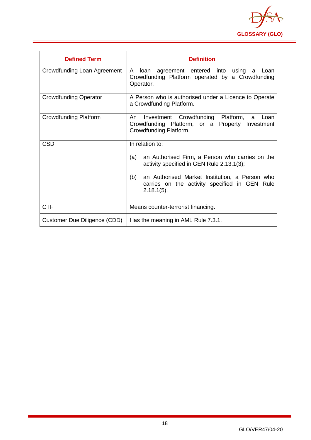

<span id="page-18-0"></span>

| <b>Defined Term</b>          | <b>Definition</b>                                                                                                                    |
|------------------------------|--------------------------------------------------------------------------------------------------------------------------------------|
| Crowdfunding Loan Agreement  | A<br>loan<br>agreement entered into<br>using<br>a<br>Loan<br>Crowdfunding Platform operated by a Crowdfunding<br>Operator.           |
| <b>Crowdfunding Operator</b> | A Person who is authorised under a Licence to Operate<br>a Crowdfunding Platform.                                                    |
| <b>Crowdfunding Platform</b> | Crowdfunding Platform,<br>An<br>Investment<br>a<br>Loan<br>Crowdfunding Platform, or a Property Investment<br>Crowdfunding Platform. |
| <b>CSD</b>                   | In relation to:                                                                                                                      |
|                              | (a)<br>an Authorised Firm, a Person who carries on the<br>activity specified in GEN Rule 2.13.1(3);                                  |
|                              | (b)<br>an Authorised Market Institution, a Person who<br>carries on the activity specified in GEN Rule<br>$2.18.1(5)$ .              |
| <b>CTF</b>                   | Means counter-terrorist financing.                                                                                                   |
| Customer Due Diligence (CDD) | Has the meaning in AML Rule 7.3.1.                                                                                                   |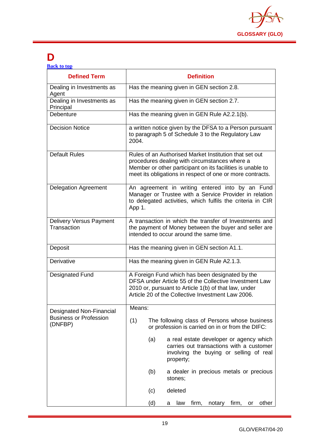

## **D**

| <b>Back to top</b> |  |  |
|--------------------|--|--|
|                    |  |  |

| <b>Defined Term</b>                                                         | <b>Definition</b>                                                                                                                                                                                                                  |
|-----------------------------------------------------------------------------|------------------------------------------------------------------------------------------------------------------------------------------------------------------------------------------------------------------------------------|
| Dealing in Investments as<br>Agent                                          | Has the meaning given in GEN section 2.8.                                                                                                                                                                                          |
| Dealing in Investments as<br>Principal                                      | Has the meaning given in GEN section 2.7.                                                                                                                                                                                          |
| Debenture                                                                   | Has the meaning given in GEN Rule A2.2.1(b).                                                                                                                                                                                       |
| <b>Decision Notice</b>                                                      | a written notice given by the DFSA to a Person pursuant<br>to paragraph 5 of Schedule 3 to the Regulatory Law<br>2004.                                                                                                             |
| <b>Default Rules</b>                                                        | Rules of an Authorised Market Institution that set out<br>procedures dealing with circumstances where a<br>Member or other participant on its facilities is unable to<br>meet its obligations in respect of one or more contracts. |
| <b>Delegation Agreement</b>                                                 | An agreement in writing entered into by an Fund<br>Manager or Trustee with a Service Provider in relation<br>to delegated activities, which fulfils the criteria in CIR<br>App 1.                                                  |
| <b>Delivery Versus Payment</b><br>Transaction                               | A transaction in which the transfer of Investments and<br>the payment of Money between the buyer and seller are<br>intended to occur around the same time.                                                                         |
| Deposit                                                                     | Has the meaning given in GEN section A1.1.                                                                                                                                                                                         |
| Derivative                                                                  | Has the meaning given in GEN Rule A2.1.3.                                                                                                                                                                                          |
| <b>Designated Fund</b>                                                      | A Foreign Fund which has been designated by the<br>DFSA under Article 55 of the Collective Investment Law<br>2010 or, pursuant to Article 1(b) of that law, under<br>Article 20 of the Collective Investment Law 2006.             |
| <b>Designated Non-Financial</b><br><b>Business or Profession</b><br>(DNFBP) | Means:                                                                                                                                                                                                                             |
|                                                                             | (1)<br>The following class of Persons whose business<br>or profession is carried on in or from the DIFC:                                                                                                                           |
|                                                                             | (a)<br>a real estate developer or agency which<br>carries out transactions with a customer<br>involving the buying or selling of real<br>property;                                                                                 |
|                                                                             | (b)<br>a dealer in precious metals or precious<br>stones;                                                                                                                                                                          |
|                                                                             | deleted<br>(c)                                                                                                                                                                                                                     |
|                                                                             | (d)<br>firm,<br>notary<br>firm,<br>other<br>law<br>or<br>a                                                                                                                                                                         |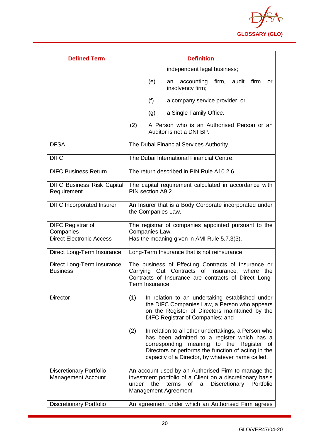

| <b>Defined Term</b>                                         | <b>Definition</b>                                                                                                                                                                                                                                                      |
|-------------------------------------------------------------|------------------------------------------------------------------------------------------------------------------------------------------------------------------------------------------------------------------------------------------------------------------------|
|                                                             | independent legal business;                                                                                                                                                                                                                                            |
|                                                             | firm, audit firm<br>(e)<br>accounting<br>an<br>or<br>insolvency firm;                                                                                                                                                                                                  |
|                                                             | (f)<br>a company service provider; or                                                                                                                                                                                                                                  |
|                                                             | a Single Family Office.<br>(g)                                                                                                                                                                                                                                         |
|                                                             | (2)<br>A Person who is an Authorised Person or an<br>Auditor is not a DNFBP.                                                                                                                                                                                           |
| <b>DFSA</b>                                                 | The Dubai Financial Services Authority.                                                                                                                                                                                                                                |
| <b>DIFC</b>                                                 | The Dubai International Financial Centre.                                                                                                                                                                                                                              |
| <b>DIFC Business Return</b>                                 | The return described in PIN Rule A10.2.6.                                                                                                                                                                                                                              |
| <b>DIFC Business Risk Capital</b><br>Requirement            | The capital requirement calculated in accordance with<br>PIN section A9.2.                                                                                                                                                                                             |
| <b>DIFC Incorporated Insurer</b>                            | An Insurer that is a Body Corporate incorporated under<br>the Companies Law.                                                                                                                                                                                           |
| <b>DIFC Registrar of</b><br>Companies                       | The registrar of companies appointed pursuant to the<br>Companies Law.                                                                                                                                                                                                 |
| <b>Direct Electronic Access</b>                             | Has the meaning given in AMI Rule 5.7.3(3).                                                                                                                                                                                                                            |
| Direct Long-Term Insurance                                  | Long-Term Insurance that is not reinsurance                                                                                                                                                                                                                            |
| Direct Long-Term Insurance<br><b>Business</b>               | The business of Effecting Contracts of Insurance or<br>Carrying Out Contracts of Insurance, where<br>the<br>Contracts of Insurance are contracts of Direct Long-<br>Term Insurance                                                                                     |
| <b>Director</b>                                             | (1)<br>In relation to an undertaking established under<br>the DIFC Companies Law, a Person who appears<br>on the Register of Directors maintained by the<br>DIFC Registrar of Companies; and                                                                           |
|                                                             | (2)<br>In relation to all other undertakings, a Person who<br>has been admitted to a register which has a<br>meaning to the Register<br>corresponding<br>0f<br>Directors or performs the function of acting in the<br>capacity of a Director, by whatever name called. |
| <b>Discretionary Portfolio</b><br><b>Management Account</b> | An account used by an Authorised Firm to manage the<br>investment portfolio of a Client on a discretionary basis<br>under<br>the<br>terms<br>Discretionary<br>of<br>a<br>Portfolio<br>Management Agreement.                                                            |
| <b>Discretionary Portfolio</b>                              | An agreement under which an Authorised Firm agrees                                                                                                                                                                                                                     |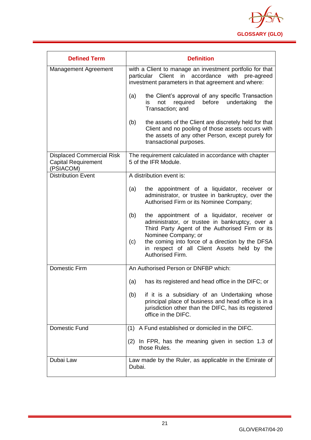

| <b>Defined Term</b>                                                         | <b>Definition</b>                                                                                                                                                                                                                                                                                              |
|-----------------------------------------------------------------------------|----------------------------------------------------------------------------------------------------------------------------------------------------------------------------------------------------------------------------------------------------------------------------------------------------------------|
| Management Agreement                                                        | with a Client to manage an investment portfolio for that<br>Client in accordance<br>with<br>particular<br>pre-agreed<br>investment parameters in that agreement and where:                                                                                                                                     |
|                                                                             | the Client's approval of any specific Transaction<br>(a)<br>undertaking<br>required<br>before<br>not<br>the<br>is<br>Transaction; and                                                                                                                                                                          |
|                                                                             | (b)<br>the assets of the Client are discretely held for that<br>Client and no pooling of those assets occurs with<br>the assets of any other Person, except purely for<br>transactional purposes.                                                                                                              |
| <b>Displaced Commercial Risk</b><br><b>Capital Requirement</b><br>(PSIACOM) | The requirement calculated in accordance with chapter<br>5 of the IFR Module.                                                                                                                                                                                                                                  |
| <b>Distribution Event</b>                                                   | A distribution event is:                                                                                                                                                                                                                                                                                       |
|                                                                             | the appointment of a liquidator, receiver or<br>(a)<br>administrator, or trustee in bankruptcy, over the<br>Authorised Firm or its Nominee Company;                                                                                                                                                            |
|                                                                             | the appointment of a liquidator, receiver or<br>(b)<br>administrator, or trustee in bankruptcy, over a<br>Third Party Agent of the Authorised Firm or its<br>Nominee Company; or<br>the coming into force of a direction by the DFSA<br>(c)<br>in respect of all Client Assets held by the<br>Authorised Firm. |
| <b>Domestic Firm</b>                                                        | An Authorised Person or DNFBP which:                                                                                                                                                                                                                                                                           |
|                                                                             | has its registered and head office in the DIFC; or<br>(a)                                                                                                                                                                                                                                                      |
|                                                                             | if it is a subsidiary of an Undertaking whose<br>(b)<br>principal place of business and head office is in a<br>jurisdiction other than the DIFC, has its registered<br>office in the DIFC.                                                                                                                     |
| Domestic Fund                                                               | (1) A Fund established or domiciled in the DIFC.                                                                                                                                                                                                                                                               |
|                                                                             | (2) In FPR, has the meaning given in section 1.3 of<br>those Rules.                                                                                                                                                                                                                                            |
| Dubai Law                                                                   | Law made by the Ruler, as applicable in the Emirate of<br>Dubai.                                                                                                                                                                                                                                               |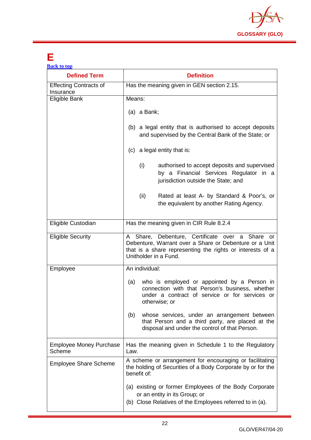

### <span id="page-22-0"></span>**E**

| <b>Back to top</b>                         |                                                                                                                                                                                                 |
|--------------------------------------------|-------------------------------------------------------------------------------------------------------------------------------------------------------------------------------------------------|
| <b>Defined Term</b>                        | <b>Definition</b>                                                                                                                                                                               |
| <b>Effecting Contracts of</b><br>Insurance | Has the meaning given in GEN section 2.15.                                                                                                                                                      |
| Eligible Bank                              | Means:                                                                                                                                                                                          |
|                                            | (a) a Bank;                                                                                                                                                                                     |
|                                            | (b) a legal entity that is authorised to accept deposits<br>and supervised by the Central Bank of the State; or                                                                                 |
|                                            | (c) a legal entity that is:                                                                                                                                                                     |
|                                            | (i)<br>authorised to accept deposits and supervised<br>by a Financial Services Regulator in a<br>jurisdiction outside the State; and                                                            |
|                                            | (ii)<br>Rated at least A- by Standard & Poor's, or<br>the equivalent by another Rating Agency.                                                                                                  |
| Eligible Custodian                         | Has the meaning given in CIR Rule 8.2.4                                                                                                                                                         |
| <b>Eligible Security</b>                   | A Share, Debenture, Certificate over a Share or<br>Debenture, Warrant over a Share or Debenture or a Unit<br>that is a share representing the rights or interests of a<br>Unitholder in a Fund. |
| Employee                                   | An individual:                                                                                                                                                                                  |
|                                            | who is employed or appointed by a Person in<br>(a)<br>connection with that Person's business, whether<br>under a contract of service or for services or<br>otherwise; or                        |
|                                            | whose services, under an arrangement between<br>(b)<br>that Person and a third party, are placed at the<br>disposal and under the control of that Person.                                       |
| <b>Employee Money Purchase</b><br>Scheme   | Has the meaning given in Schedule 1 to the Regulatory<br>Law.                                                                                                                                   |
| <b>Employee Share Scheme</b>               | A scheme or arrangement for encouraging or facilitating<br>the holding of Securities of a Body Corporate by or for the<br>benefit of:                                                           |
|                                            | (a) existing or former Employees of the Body Corporate<br>or an entity in its Group; or<br>(b) Close Relatives of the Employees referred to in (a).                                             |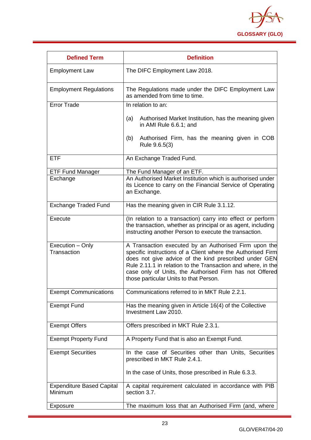

| <b>Defined Term</b>                         | <b>Definition</b>                                                                                                                                                                                                                                                                                                                                  |
|---------------------------------------------|----------------------------------------------------------------------------------------------------------------------------------------------------------------------------------------------------------------------------------------------------------------------------------------------------------------------------------------------------|
| <b>Employment Law</b>                       | The DIFC Employment Law 2018.                                                                                                                                                                                                                                                                                                                      |
| <b>Employment Regulations</b>               | The Regulations made under the DIFC Employment Law<br>as amended from time to time.                                                                                                                                                                                                                                                                |
| <b>Error Trade</b>                          | In relation to an:                                                                                                                                                                                                                                                                                                                                 |
|                                             | Authorised Market Institution, has the meaning given<br>(a)<br>in AMI Rule 6.6.1; and                                                                                                                                                                                                                                                              |
|                                             | Authorised Firm, has the meaning given in COB<br>(b)<br>Rule 9.6.5(3)                                                                                                                                                                                                                                                                              |
| <b>ETF</b>                                  | An Exchange Traded Fund.                                                                                                                                                                                                                                                                                                                           |
| <b>ETF Fund Manager</b>                     | The Fund Manager of an ETF.                                                                                                                                                                                                                                                                                                                        |
| Exchange                                    | An Authorised Market Institution which is authorised under<br>its Licence to carry on the Financial Service of Operating<br>an Exchange.                                                                                                                                                                                                           |
| <b>Exchange Traded Fund</b>                 | Has the meaning given in CIR Rule 3.1.12.                                                                                                                                                                                                                                                                                                          |
| Execute                                     | (In relation to a transaction) carry into effect or perform<br>the transaction, whether as principal or as agent, including<br>instructing another Person to execute the transaction.                                                                                                                                                              |
| Execution - Only<br>Transaction             | A Transaction executed by an Authorised Firm upon the<br>specific instructions of a Client where the Authorised Firm<br>does not give advice of the kind prescribed under GEN<br>Rule 2.11.1 in relation to the Transaction and where, in the<br>case only of Units, the Authorised Firm has not Offered<br>those particular Units to that Person. |
| <b>Exempt Communications</b>                | Communications referred to in MKT Rule 2.2.1.                                                                                                                                                                                                                                                                                                      |
| <b>Exempt Fund</b>                          | Has the meaning given in Article 16(4) of the Collective<br>Investment Law 2010.                                                                                                                                                                                                                                                                   |
| <b>Exempt Offers</b>                        | Offers prescribed in MKT Rule 2.3.1.                                                                                                                                                                                                                                                                                                               |
| <b>Exempt Property Fund</b>                 | A Property Fund that is also an Exempt Fund.                                                                                                                                                                                                                                                                                                       |
| <b>Exempt Securities</b>                    | In the case of Securities other than Units, Securities<br>prescribed in MKT Rule 2.4.1.                                                                                                                                                                                                                                                            |
|                                             | In the case of Units, those prescribed in Rule 6.3.3.                                                                                                                                                                                                                                                                                              |
| <b>Expenditure Based Capital</b><br>Minimum | A capital requirement calculated in accordance with PIB<br>section 3.7.                                                                                                                                                                                                                                                                            |
| Exposure                                    | The maximum loss that an Authorised Firm (and, where                                                                                                                                                                                                                                                                                               |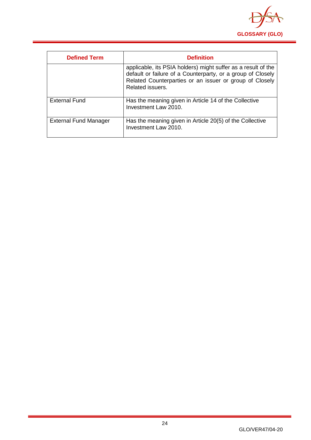

<span id="page-24-0"></span>

| <b>Defined Term</b>          | <b>Definition</b>                                                                                                                                                                                           |
|------------------------------|-------------------------------------------------------------------------------------------------------------------------------------------------------------------------------------------------------------|
|                              | applicable, its PSIA holders) might suffer as a result of the<br>default or failure of a Counterparty, or a group of Closely<br>Related Counterparties or an issuer or group of Closely<br>Related issuers. |
| <b>External Fund</b>         | Has the meaning given in Article 14 of the Collective<br>Investment Law 2010.                                                                                                                               |
| <b>External Fund Manager</b> | Has the meaning given in Article 20(5) of the Collective<br>Investment Law 2010.                                                                                                                            |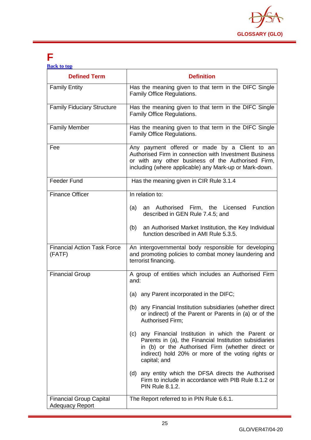

### **F**

| <b>Back to top</b> |  |  |
|--------------------|--|--|
|                    |  |  |
|                    |  |  |

| <b>Defined Term</b>                                      | <b>Definition</b>                                                                                                                                                                                                                           |
|----------------------------------------------------------|---------------------------------------------------------------------------------------------------------------------------------------------------------------------------------------------------------------------------------------------|
| <b>Family Entity</b>                                     | Has the meaning given to that term in the DIFC Single<br>Family Office Regulations.                                                                                                                                                         |
| <b>Family Fiduciary Structure</b>                        | Has the meaning given to that term in the DIFC Single<br>Family Office Regulations.                                                                                                                                                         |
| <b>Family Member</b>                                     | Has the meaning given to that term in the DIFC Single<br>Family Office Regulations.                                                                                                                                                         |
| Fee                                                      | Any payment offered or made by a Client to an<br>Authorised Firm in connection with Investment Business<br>or with any other business of the Authorised Firm,<br>including (where applicable) any Mark-up or Mark-down.                     |
| <b>Feeder Fund</b>                                       | Has the meaning given in CIR Rule 3.1.4                                                                                                                                                                                                     |
| <b>Finance Officer</b>                                   | In relation to:                                                                                                                                                                                                                             |
|                                                          | an Authorised Firm, the Licensed Function<br>(a)<br>described in GEN Rule 7.4.5; and                                                                                                                                                        |
|                                                          | an Authorised Market Institution, the Key Individual<br>(b)<br>function described in AMI Rule 5.3.5.                                                                                                                                        |
| <b>Financial Action Task Force</b><br>(FATF)             | An intergovernmental body responsible for developing<br>and promoting policies to combat money laundering and<br>terrorist financing.                                                                                                       |
| <b>Financial Group</b>                                   | A group of entities which includes an Authorised Firm<br>and:                                                                                                                                                                               |
|                                                          | (a) any Parent incorporated in the DIFC;                                                                                                                                                                                                    |
|                                                          | (b) any Financial Institution subsidiaries (whether direct<br>or indirect) of the Parent or Parents in (a) or of the<br>Authorised Firm;                                                                                                    |
|                                                          | (c)<br>any Financial Institution in which the Parent or<br>Parents in (a), the Financial Institution subsidiaries<br>in (b) or the Authorised Firm (whether direct or<br>indirect) hold 20% or more of the voting rights or<br>capital; and |
|                                                          | (d) any entity which the DFSA directs the Authorised<br>Firm to include in accordance with PIB Rule 8.1.2 or<br><b>PIN Rule 8.1.2.</b>                                                                                                      |
| <b>Financial Group Capital</b><br><b>Adequacy Report</b> | The Report referred to in PIN Rule 6.6.1.                                                                                                                                                                                                   |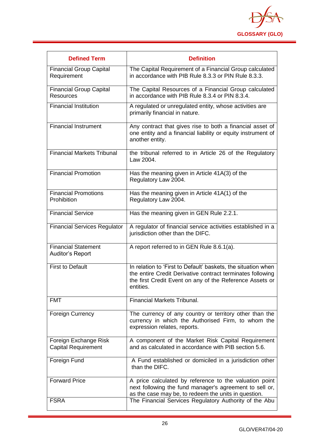

| <b>Defined Term</b>                                 | <b>Definition</b>                                                                                                                                                                                    |
|-----------------------------------------------------|------------------------------------------------------------------------------------------------------------------------------------------------------------------------------------------------------|
| <b>Financial Group Capital</b><br>Requirement       | The Capital Requirement of a Financial Group calculated<br>in accordance with PIB Rule 8.3.3 or PIN Rule 8.3.3.                                                                                      |
| <b>Financial Group Capital</b><br><b>Resources</b>  | The Capital Resources of a Financial Group calculated<br>in accordance with PIB Rule 8.3.4 or PIN 8.3.4.                                                                                             |
| <b>Financial Institution</b>                        | A regulated or unregulated entity, whose activities are<br>primarily financial in nature.                                                                                                            |
| <b>Financial Instrument</b>                         | Any contract that gives rise to both a financial asset of<br>one entity and a financial liability or equity instrument of<br>another entity.                                                         |
| <b>Financial Markets Tribunal</b>                   | the tribunal referred to in Article 26 of the Regulatory<br>Law 2004.                                                                                                                                |
| <b>Financial Promotion</b>                          | Has the meaning given in Article 41A(3) of the<br>Regulatory Law 2004.                                                                                                                               |
| <b>Financial Promotions</b><br>Prohibition          | Has the meaning given in Article 41A(1) of the<br>Regulatory Law 2004.                                                                                                                               |
| <b>Financial Service</b>                            | Has the meaning given in GEN Rule 2.2.1.                                                                                                                                                             |
| <b>Financial Services Regulator</b>                 | A regulator of financial service activities established in a<br>jurisdiction other than the DIFC.                                                                                                    |
| <b>Financial Statement</b><br>Auditor's Report      | A report referred to in GEN Rule 8.6.1(a).                                                                                                                                                           |
| <b>First to Default</b>                             | In relation to 'First to Default' baskets, the situation when<br>the entire Credit Derivative contract terminates following<br>the first Credit Event on any of the Reference Assets or<br>entities. |
| <b>FMT</b>                                          | <b>Financial Markets Tribunal.</b>                                                                                                                                                                   |
| <b>Foreign Currency</b>                             | The currency of any country or territory other than the<br>currency in which the Authorised Firm, to whom the<br>expression relates, reports.                                                        |
| Foreign Exchange Risk<br><b>Capital Requirement</b> | A component of the Market Risk Capital Requirement<br>and as calculated in accordance with PIB section 5.6.                                                                                          |
| Foreign Fund                                        | A Fund established or domiciled in a jurisdiction other<br>than the DIFC.                                                                                                                            |
| <b>Forward Price</b>                                | A price calculated by reference to the valuation point<br>next following the fund manager's agreement to sell or,<br>as the case may be, to redeem the units in question.                            |
| <b>FSRA</b>                                         | The Financial Services Regulatory Authority of the Abu                                                                                                                                               |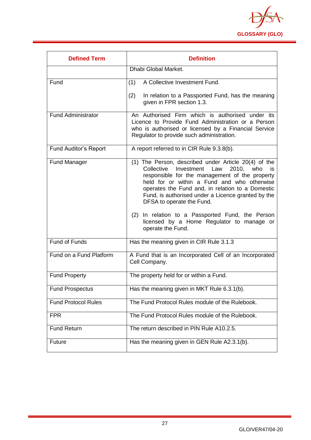

<span id="page-27-0"></span>

| <b>Defined Term</b>          | <b>Definition</b>                                                                                                                                                                                                                                                                                                                                                                                                                                                      |  |
|------------------------------|------------------------------------------------------------------------------------------------------------------------------------------------------------------------------------------------------------------------------------------------------------------------------------------------------------------------------------------------------------------------------------------------------------------------------------------------------------------------|--|
|                              | Dhabi Global Market.                                                                                                                                                                                                                                                                                                                                                                                                                                                   |  |
| Fund                         | A Collective Investment Fund.<br>(1)                                                                                                                                                                                                                                                                                                                                                                                                                                   |  |
|                              | (2)<br>In relation to a Passported Fund, has the meaning<br>given in FPR section 1.3.                                                                                                                                                                                                                                                                                                                                                                                  |  |
| <b>Fund Administrator</b>    | An Authorised Firm which is authorised under its<br>Licence to Provide Fund Administration or a Person<br>who is authorised or licensed by a Financial Service<br>Regulator to provide such administration.                                                                                                                                                                                                                                                            |  |
| <b>Fund Auditor's Report</b> | A report referred to in CIR Rule 9.3.8(b).                                                                                                                                                                                                                                                                                                                                                                                                                             |  |
| <b>Fund Manager</b>          | (1) The Person, described under Article 20(4) of the<br>Investment Law<br>Collective<br>2010. who<br>is.<br>responsible for the management of the property<br>held for or within a Fund and who otherwise<br>operates the Fund and, in relation to a Domestic<br>Fund, is authorised under a Licence granted by the<br>DFSA to operate the Fund.<br>(2) In relation to a Passported Fund, the Person<br>licensed by a Home Regulator to manage or<br>operate the Fund. |  |
| <b>Fund of Funds</b>         | Has the meaning given in CIR Rule 3.1.3                                                                                                                                                                                                                                                                                                                                                                                                                                |  |
| Fund on a Fund Platform      | A Fund that is an Incorporated Cell of an Incorporated<br>Cell Company.                                                                                                                                                                                                                                                                                                                                                                                                |  |
| <b>Fund Property</b>         | The property held for or within a Fund.                                                                                                                                                                                                                                                                                                                                                                                                                                |  |
| <b>Fund Prospectus</b>       | Has the meaning given in MKT Rule 6.3.1(b).                                                                                                                                                                                                                                                                                                                                                                                                                            |  |
| <b>Fund Protocol Rules</b>   | The Fund Protocol Rules module of the Rulebook.                                                                                                                                                                                                                                                                                                                                                                                                                        |  |
| <b>FPR</b>                   | The Fund Protocol Rules module of the Rulebook.                                                                                                                                                                                                                                                                                                                                                                                                                        |  |
| <b>Fund Return</b>           | The return described in PIN Rule A10.2.5.                                                                                                                                                                                                                                                                                                                                                                                                                              |  |
| Future                       | Has the meaning given in GEN Rule A2.3.1(b).                                                                                                                                                                                                                                                                                                                                                                                                                           |  |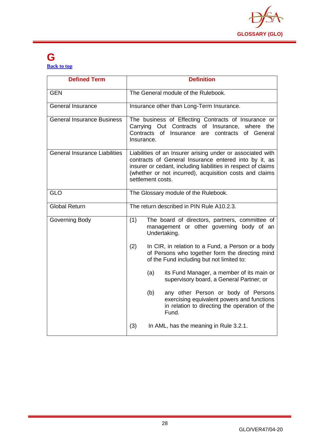

#### **G [Back to top](#page-1-0)**

| <b>Defined Term</b>                  | <b>Definition</b>                                                                                                                                                                                                                                                    |
|--------------------------------------|----------------------------------------------------------------------------------------------------------------------------------------------------------------------------------------------------------------------------------------------------------------------|
| <b>GEN</b>                           | The General module of the Rulebook.                                                                                                                                                                                                                                  |
| <b>General Insurance</b>             | Insurance other than Long-Term Insurance.                                                                                                                                                                                                                            |
| <b>General Insurance Business</b>    | The business of Effecting Contracts of Insurance or<br>Carrying Out Contracts of Insurance, where the<br>Contracts<br>of Insurance<br>contracts<br>of General<br>are<br>Insurance.                                                                                   |
| <b>General Insurance Liabilities</b> | Liabilities of an Insurer arising under or associated with<br>contracts of General Insurance entered into by it, as<br>insurer or cedant, including liabilities in respect of claims<br>(whether or not incurred), acquisition costs and claims<br>settlement costs. |
| <b>GLO</b>                           | The Glossary module of the Rulebook.                                                                                                                                                                                                                                 |
| <b>Global Return</b>                 | The return described in PIN Rule A10.2.3.                                                                                                                                                                                                                            |
| Governing Body                       | (1)<br>The board of directors, partners, committee of<br>management or other governing body of an<br>Undertaking.                                                                                                                                                    |
|                                      | (2)<br>In CIR, in relation to a Fund, a Person or a body<br>of Persons who together form the directing mind<br>of the Fund including but not limited to:                                                                                                             |
|                                      | its Fund Manager, a member of its main or<br>(a)<br>supervisory board, a General Partner; or                                                                                                                                                                         |
|                                      | (b)<br>any other Person or body of Persons<br>exercising equivalent powers and functions<br>in relation to directing the operation of the<br>Fund.                                                                                                                   |
|                                      | (3)<br>In AML, has the meaning in Rule 3.2.1.                                                                                                                                                                                                                        |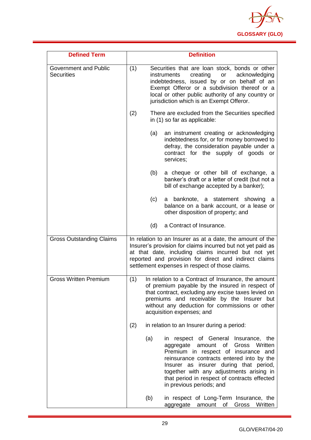

| <b>Defined Term</b>                               |                                                                                                                                                                                                                                                                                                               | <b>Definition</b>                                                                                                                                                                                                                                                                                                                     |
|---------------------------------------------------|---------------------------------------------------------------------------------------------------------------------------------------------------------------------------------------------------------------------------------------------------------------------------------------------------------------|---------------------------------------------------------------------------------------------------------------------------------------------------------------------------------------------------------------------------------------------------------------------------------------------------------------------------------------|
| <b>Government and Public</b><br><b>Securities</b> | (1)<br>Securities that are loan stock, bonds or other<br>creating<br>acknowledging<br><i>instruments</i><br>or<br>indebtedness, issued by or on behalf of an<br>Exempt Offeror or a subdivision thereof or a<br>local or other public authority of any country or<br>jurisdiction which is an Exempt Offeror. |                                                                                                                                                                                                                                                                                                                                       |
|                                                   | (2)                                                                                                                                                                                                                                                                                                           | There are excluded from the Securities specified<br>in (1) so far as applicable:                                                                                                                                                                                                                                                      |
|                                                   | (a)                                                                                                                                                                                                                                                                                                           | an instrument creating or acknowledging<br>indebtedness for, or for money borrowed to<br>defray, the consideration payable under a<br>contract for the supply of goods or<br>services;                                                                                                                                                |
|                                                   | (b)                                                                                                                                                                                                                                                                                                           | a cheque or other bill of exchange, a<br>banker's draft or a letter of credit (but not a<br>bill of exchange accepted by a banker);                                                                                                                                                                                                   |
|                                                   | (c)                                                                                                                                                                                                                                                                                                           | a banknote, a statement showing<br>a<br>balance on a bank account, or a lease or<br>other disposition of property; and                                                                                                                                                                                                                |
|                                                   | (d)                                                                                                                                                                                                                                                                                                           | a Contract of Insurance.                                                                                                                                                                                                                                                                                                              |
| <b>Gross Outstanding Claims</b>                   |                                                                                                                                                                                                                                                                                                               | In relation to an Insurer as at a date, the amount of the<br>Insurer's provision for claims incurred but not yet paid as<br>at that date, including claims incurred but not yet<br>reported and provision for direct and indirect claims<br>settlement expenses in respect of those claims.                                           |
| <b>Gross Written Premium</b>                      | (1)                                                                                                                                                                                                                                                                                                           | In relation to a Contract of Insurance, the amount<br>of premium payable by the insured in respect of<br>that contract, excluding any excise taxes levied on<br>premiums and receivable by the Insurer but<br>without any deduction for commissions or other<br>acquisition expenses; and                                             |
|                                                   | (2)                                                                                                                                                                                                                                                                                                           | in relation to an Insurer during a period:                                                                                                                                                                                                                                                                                            |
|                                                   | (a)                                                                                                                                                                                                                                                                                                           | in respect of General Insurance, the<br>of Gross Written<br>aggregate<br>amount<br>Premium in respect of insurance and<br>reinsurance contracts entered into by the<br>Insurer as insurer during that period,<br>together with any adjustments arising in<br>that period in respect of contracts effected<br>in previous periods; and |
|                                                   | (b)                                                                                                                                                                                                                                                                                                           | in respect of Long-Term Insurance, the<br>amount of Gross<br>Written<br>aggregate                                                                                                                                                                                                                                                     |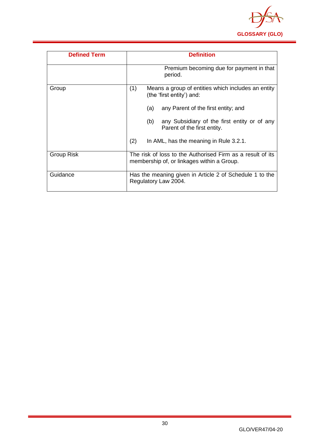

| <b>Defined Term</b> | <b>Definition</b>                                                                                        |
|---------------------|----------------------------------------------------------------------------------------------------------|
|                     | Premium becoming due for payment in that<br>period.                                                      |
| Group               | (1)<br>Means a group of entities which includes an entity<br>(the 'first entity') and:                   |
|                     | any Parent of the first entity; and<br>(a)                                                               |
|                     | any Subsidiary of the first entity or of any<br>(b)<br>Parent of the first entity.                       |
|                     | (2)<br>In AML, has the meaning in Rule 3.2.1.                                                            |
| <b>Group Risk</b>   | The risk of loss to the Authorised Firm as a result of its<br>membership of, or linkages within a Group. |
| Guidance            | Has the meaning given in Article 2 of Schedule 1 to the<br>Regulatory Law 2004.                          |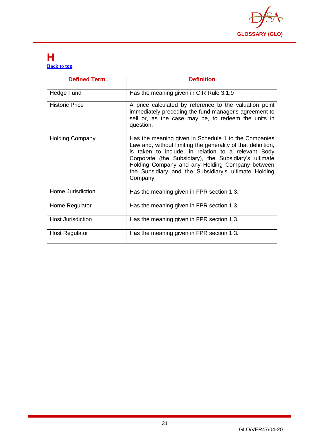

#### <span id="page-31-0"></span>**H [Back to top](#page-1-0)**

| <b>Defined Term</b>    | <b>Definition</b>                                                                                                                                                                                                                                                                                                                                           |
|------------------------|-------------------------------------------------------------------------------------------------------------------------------------------------------------------------------------------------------------------------------------------------------------------------------------------------------------------------------------------------------------|
| Hedge Fund             | Has the meaning given in CIR Rule 3.1.9                                                                                                                                                                                                                                                                                                                     |
| <b>Historic Price</b>  | A price calculated by reference to the valuation point<br>immediately preceding the fund manager's agreement to<br>sell or, as the case may be, to redeem the units in<br>question.                                                                                                                                                                         |
| <b>Holding Company</b> | Has the meaning given in Schedule 1 to the Companies<br>Law and, without limiting the generality of that definition,<br>is taken to include, in relation to a relevant Body<br>Corporate (the Subsidiary), the Subsidiary's ultimate<br>Holding Company and any Holding Company between<br>the Subsidiary and the Subsidiary's ultimate Holding<br>Company. |
| Home Jurisdiction      | Has the meaning given in FPR section 1.3.                                                                                                                                                                                                                                                                                                                   |
| Home Regulator         | Has the meaning given in FPR section 1.3.                                                                                                                                                                                                                                                                                                                   |
| Host Jurisdiction      | Has the meaning given in FPR section 1.3.                                                                                                                                                                                                                                                                                                                   |
| <b>Host Regulator</b>  | Has the meaning given in FPR section 1.3.                                                                                                                                                                                                                                                                                                                   |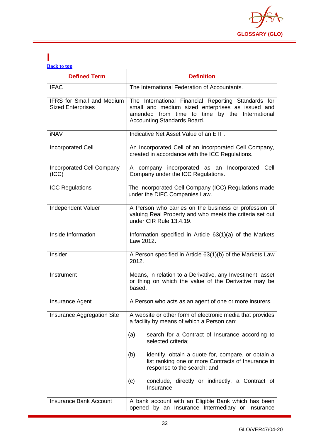

#### <span id="page-32-0"></span>**I [Back to top](#page-1-0)**

| <b>Defined Term</b>                                          | <b>Definition</b>                                                                                                                                                                        |
|--------------------------------------------------------------|------------------------------------------------------------------------------------------------------------------------------------------------------------------------------------------|
| <b>IFAC</b>                                                  | The International Federation of Accountants.                                                                                                                                             |
| <b>IFRS</b> for Small and Medium<br><b>Sized Enterprises</b> | The International Financial Reporting Standards for<br>small and medium sized enterprises as issued and<br>amended from time to time by the International<br>Accounting Standards Board. |
| <b>iNAV</b>                                                  | Indicative Net Asset Value of an ETF.                                                                                                                                                    |
| <b>Incorporated Cell</b>                                     | An Incorporated Cell of an Incorporated Cell Company,<br>created in accordance with the ICC Regulations.                                                                                 |
| Incorporated Cell Company<br>(ICC)                           | A company incorporated as an Incorporated Cell<br>Company under the ICC Regulations.                                                                                                     |
| <b>ICC Regulations</b>                                       | The Incorporated Cell Company (ICC) Regulations made<br>under the DIFC Companies Law.                                                                                                    |
| Independent Valuer                                           | A Person who carries on the business or profession of<br>valuing Real Property and who meets the criteria set out<br>under CIR Rule 13.4.19.                                             |
| Inside Information                                           | Information specified in Article 63(1)(a) of the Markets<br>Law 2012.                                                                                                                    |
| Insider                                                      | A Person specified in Article 63(1)(b) of the Markets Law<br>2012.                                                                                                                       |
| Instrument                                                   | Means, in relation to a Derivative, any Investment, asset<br>or thing on which the value of the Derivative may be<br>based.                                                              |
| Insurance Agent                                              | A Person who acts as an agent of one or more insurers.                                                                                                                                   |
| Insurance Aggregation Site                                   | A website or other form of electronic media that provides<br>a facility by means of which a Person can:                                                                                  |
|                                                              | search for a Contract of Insurance according to<br>(a)<br>selected criteria;                                                                                                             |
|                                                              | (b)<br>identify, obtain a quote for, compare, or obtain a<br>list ranking one or more Contracts of Insurance in<br>response to the search; and                                           |
|                                                              | conclude, directly or indirectly, a Contract of<br>(c)<br>Insurance.                                                                                                                     |
| <b>Insurance Bank Account</b>                                | A bank account with an Eligible Bank which has been<br>opened by an Insurance Intermediary or Insurance                                                                                  |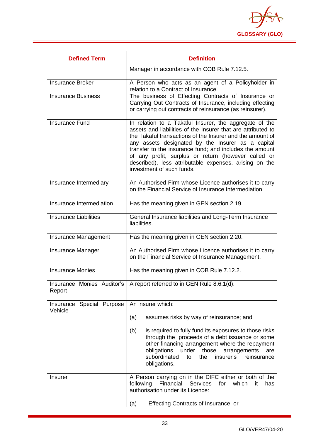

| <b>Defined Term</b>                  | <b>Definition</b>                                                                                                                                                                                                                                                                                                                                                                                                                                 |  |
|--------------------------------------|---------------------------------------------------------------------------------------------------------------------------------------------------------------------------------------------------------------------------------------------------------------------------------------------------------------------------------------------------------------------------------------------------------------------------------------------------|--|
|                                      | Manager in accordance with COB Rule 7.12.5.                                                                                                                                                                                                                                                                                                                                                                                                       |  |
| <b>Insurance Broker</b>              | A Person who acts as an agent of a Policyholder in<br>relation to a Contract of Insurance.                                                                                                                                                                                                                                                                                                                                                        |  |
| <b>Insurance Business</b>            | The business of Effecting Contracts of Insurance or<br>Carrying Out Contracts of Insurance, including effecting<br>or carrying out contracts of reinsurance (as reinsurer).                                                                                                                                                                                                                                                                       |  |
| <b>Insurance Fund</b>                | In relation to a Takaful Insurer, the aggregate of the<br>assets and liabilities of the Insurer that are attributed to<br>the Takaful transactions of the Insurer and the amount of<br>any assets designated by the Insurer as a capital<br>transfer to the insurance fund; and includes the amount<br>of any profit, surplus or return (however called or<br>described), less attributable expenses, arising on the<br>investment of such funds. |  |
| Insurance Intermediary               | An Authorised Firm whose Licence authorises it to carry<br>on the Financial Service of Insurance Intermediation.                                                                                                                                                                                                                                                                                                                                  |  |
| Insurance Intermediation             | Has the meaning given in GEN section 2.19.                                                                                                                                                                                                                                                                                                                                                                                                        |  |
| <b>Insurance Liabilities</b>         | General Insurance liabilities and Long-Term Insurance<br>liabilities.                                                                                                                                                                                                                                                                                                                                                                             |  |
| Insurance Management                 | Has the meaning given in GEN section 2.20.                                                                                                                                                                                                                                                                                                                                                                                                        |  |
| <b>Insurance Manager</b>             | An Authorised Firm whose Licence authorises it to carry<br>on the Financial Service of Insurance Management.                                                                                                                                                                                                                                                                                                                                      |  |
| <b>Insurance Monies</b>              | Has the meaning given in COB Rule 7.12.2.                                                                                                                                                                                                                                                                                                                                                                                                         |  |
| Insurance Monies Auditor's<br>Report | A report referred to in GEN Rule 8.6.1(d).                                                                                                                                                                                                                                                                                                                                                                                                        |  |
| Insurance Special Purpose<br>Vehicle | An insurer which:                                                                                                                                                                                                                                                                                                                                                                                                                                 |  |
|                                      | (a)<br>assumes risks by way of reinsurance; and                                                                                                                                                                                                                                                                                                                                                                                                   |  |
|                                      | (b)<br>is required to fully fund its exposures to those risks<br>through the proceeds of a debt issuance or some<br>other financing arrangement where the repayment<br>obligations<br>under<br>those<br>arrangements<br>are<br>subordinated<br>insurer's<br>the<br>reinsurance<br>to<br>obligations.                                                                                                                                              |  |
| Insurer                              | A Person carrying on in the DIFC either or both of the<br>Services<br>following<br>Financial<br>for<br>which<br>it<br>has<br>authorisation under its Licence:                                                                                                                                                                                                                                                                                     |  |
|                                      | <b>Effecting Contracts of Insurance; or</b><br>(a)                                                                                                                                                                                                                                                                                                                                                                                                |  |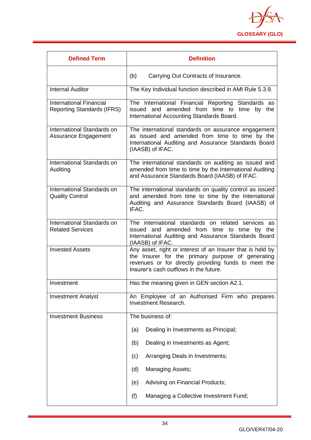

| <b>Defined Term</b>                                                 | <b>Definition</b>                                                                                                                                                                                                 |  |
|---------------------------------------------------------------------|-------------------------------------------------------------------------------------------------------------------------------------------------------------------------------------------------------------------|--|
|                                                                     | (b)<br>Carrying Out Contracts of Insurance.                                                                                                                                                                       |  |
| <b>Internal Auditor</b>                                             | The Key Individual function described in AMI Rule 5.3.9.                                                                                                                                                          |  |
| <b>International Financial</b><br><b>Reporting Standards (IFRS)</b> | The International Financial Reporting Standards as<br>issued and amended from time to time by the<br>International Accounting Standards Board.                                                                    |  |
| International Standards on<br>Assurance Engagement                  | The international standards on assurance engagement<br>as issued and amended from time to time by the<br>International Auditing and Assurance Standards Board<br>(IAASB) of IFAC.                                 |  |
| International Standards on<br>Auditing                              | The international standards on auditing as issued and<br>amended from time to time by the International Auditing<br>and Assurance Standards Board (IAASB) of IFAC.                                                |  |
| International Standards on<br><b>Quality Control</b>                | The international standards on quality control as issued<br>and amended from time to time by the International<br>Auditing and Assurance Standards Board (IAASB) of<br>IFAC.                                      |  |
| International Standards on<br><b>Related Services</b>               | The international standards on related services as<br>issued and amended from time to time by the<br>International Auditing and Assurance Standards Board<br>(IAASB) of IFAC.                                     |  |
| <b>Invested Assets</b>                                              | Any asset, right or interest of an Insurer that is held by<br>the Insurer for the primary purpose of generating<br>revenues or for directly providing funds to meet the<br>Insurer's cash outflows in the future. |  |
| Investment                                                          | Has the meaning given in GEN section A2.1.                                                                                                                                                                        |  |
| <b>Investment Analyst</b>                                           | An Employee of an Authorised Firm who prepares<br><b>Investment Research.</b>                                                                                                                                     |  |
| <b>Investment Business</b>                                          | The business of:                                                                                                                                                                                                  |  |
|                                                                     | Dealing in Investments as Principal;<br>(a)                                                                                                                                                                       |  |
|                                                                     | Dealing in Investments as Agent;<br>(b)                                                                                                                                                                           |  |
|                                                                     | Arranging Deals in Investments;<br>(c)                                                                                                                                                                            |  |
|                                                                     | <b>Managing Assets;</b><br>(d)                                                                                                                                                                                    |  |
|                                                                     | Advising on Financial Products;<br>(e)                                                                                                                                                                            |  |
|                                                                     | (f)<br>Managing a Collective Investment Fund;                                                                                                                                                                     |  |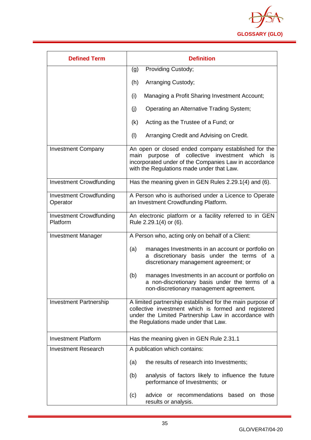

| <b>Defined Term</b>                        | <b>Definition</b>                                                                                                                                                                                                  |  |
|--------------------------------------------|--------------------------------------------------------------------------------------------------------------------------------------------------------------------------------------------------------------------|--|
|                                            | Providing Custody;<br>(g)                                                                                                                                                                                          |  |
|                                            | (h)<br>Arranging Custody;                                                                                                                                                                                          |  |
|                                            | (i)<br>Managing a Profit Sharing Investment Account;                                                                                                                                                               |  |
|                                            | (j)<br>Operating an Alternative Trading System;                                                                                                                                                                    |  |
|                                            | Acting as the Trustee of a Fund; or<br>(k)                                                                                                                                                                         |  |
|                                            | (1)<br>Arranging Credit and Advising on Credit.                                                                                                                                                                    |  |
| <b>Investment Company</b>                  | An open or closed ended company established for the<br>purpose of collective investment which<br>main<br>is.<br>incorporated under of the Companies Law in accordance<br>with the Regulations made under that Law. |  |
| <b>Investment Crowdfunding</b>             | Has the meaning given in GEN Rules 2.29.1(4) and (6).                                                                                                                                                              |  |
| <b>Investment Crowdfunding</b><br>Operator | A Person who is authorised under a Licence to Operate<br>an Investment Crowdfunding Platform.                                                                                                                      |  |
| <b>Investment Crowdfunding</b><br>Platform | An electronic platform or a facility referred to in GEN<br>Rule 2.29.1(4) or (6).                                                                                                                                  |  |
| <b>Investment Manager</b>                  | A Person who, acting only on behalf of a Client:                                                                                                                                                                   |  |
|                                            | manages Investments in an account or portfolio on<br>(a)<br>discretionary basis under the terms of a<br>discretionary management agreement; or                                                                     |  |
|                                            | (b)<br>manages Investments in an account or portfolio on<br>a non-discretionary basis under the terms of a<br>non-discretionary management agreement.                                                              |  |
| <b>Investment Partnership</b>              | A limited partnership established for the main purpose of<br>collective investment which is formed and registered<br>under the Limited Partnership Law in accordance with<br>the Regulations made under that Law.  |  |
| <b>Investment Platform</b>                 | Has the meaning given in GEN Rule 2.31.1                                                                                                                                                                           |  |
| <b>Investment Research</b>                 | A publication which contains:                                                                                                                                                                                      |  |
|                                            | the results of research into Investments;<br>(a)                                                                                                                                                                   |  |
|                                            | analysis of factors likely to influence the future<br>(b)<br>performance of Investments; or                                                                                                                        |  |
|                                            | or recommendations based on<br>(c)<br>advice<br>those<br>results or analysis.                                                                                                                                      |  |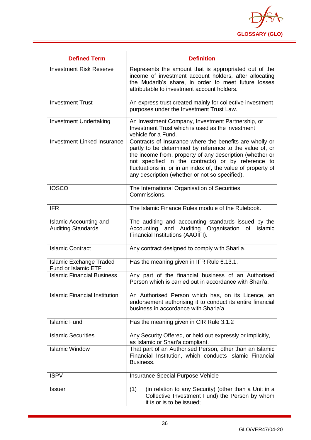

| <b>Defined Term</b>                                          | <b>Definition</b>                                                                                                                                                                                                                                                                                                                                       |
|--------------------------------------------------------------|---------------------------------------------------------------------------------------------------------------------------------------------------------------------------------------------------------------------------------------------------------------------------------------------------------------------------------------------------------|
| <b>Investment Risk Reserve</b>                               | Represents the amount that is appropriated out of the<br>income of investment account holders, after allocating<br>the Mudarib's share, in order to meet future losses<br>attributable to investment account holders.                                                                                                                                   |
| <b>Investment Trust</b>                                      | An express trust created mainly for collective investment<br>purposes under the Investment Trust Law.                                                                                                                                                                                                                                                   |
| <b>Investment Undertaking</b>                                | An Investment Company, Investment Partnership, or<br>Investment Trust which is used as the investment<br>vehicle for a Fund.                                                                                                                                                                                                                            |
| Investment-Linked Insurance                                  | Contracts of Insurance where the benefits are wholly or<br>partly to be determined by reference to the value of, or<br>the income from, property of any description (whether or<br>not specified in the contracts) or by reference to<br>fluctuations in, or in an index of, the value of property of<br>any description (whether or not so specified). |
| <b>IOSCO</b>                                                 | The International Organisation of Securities<br>Commissions.                                                                                                                                                                                                                                                                                            |
| <b>IFR</b>                                                   | The Islamic Finance Rules module of the Rulebook.                                                                                                                                                                                                                                                                                                       |
| <b>Islamic Accounting and</b><br><b>Auditing Standards</b>   | The auditing and accounting standards issued by the<br>Accounting and Auditing<br>Organisation<br>Islamic<br>оf<br>Financial Institutions (AAOIFI).                                                                                                                                                                                                     |
| <b>Islamic Contract</b>                                      | Any contract designed to comply with Shari'a.                                                                                                                                                                                                                                                                                                           |
| <b>Islamic Exchange Traded</b><br><b>Fund or Islamic ETF</b> | Has the meaning given in IFR Rule 6.13.1.                                                                                                                                                                                                                                                                                                               |
| <b>Islamic Financial Business</b>                            | Any part of the financial business of an Authorised<br>Person which is carried out in accordance with Shari'a.                                                                                                                                                                                                                                          |
| <b>Islamic Financial Institution</b>                         | An Authorised Person which has, on its Licence, an<br>endorsement authorising it to conduct its entire financial<br>business in accordance with Sharia'a.                                                                                                                                                                                               |
| <b>Islamic Fund</b>                                          | Has the meaning given in CIR Rule 3.1.2                                                                                                                                                                                                                                                                                                                 |
| <b>Islamic Securities</b>                                    | Any Security Offered, or held out expressly or implicitly,<br>as Islamic or Shari'a compliant.                                                                                                                                                                                                                                                          |
| <b>Islamic Window</b>                                        | That part of an Authorised Person, other than an Islamic<br>Financial Institution, which conducts Islamic Financial<br>Business.                                                                                                                                                                                                                        |
| <b>ISPV</b>                                                  | Insurance Special Purpose Vehicle                                                                                                                                                                                                                                                                                                                       |
| <b>Issuer</b>                                                | (1)<br>(in relation to any Security) (other than a Unit in a<br>Collective Investment Fund) the Person by whom<br>it is or is to be issued;                                                                                                                                                                                                             |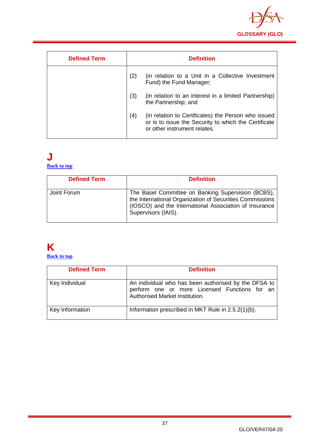

| <b>Defined Term</b> |     | <b>Definition</b>                                                                                                                           |
|---------------------|-----|---------------------------------------------------------------------------------------------------------------------------------------------|
|                     | (2) | (in relation to a Unit in a Collective Investment<br>Fund) the Fund Manager;                                                                |
|                     | (3) | (in relation to an interest in a limited Partnership)<br>the Partnership; and                                                               |
|                     | (4) | (in relation to Certificates) the Person who issued<br>or is to issue the Security to which the Certificate<br>or other instrument relates. |

#### **J [Back to top](#page-1-0)**

| <b>Defined Term</b> | <b>Definition</b>                                                                                                                                                                               |
|---------------------|-------------------------------------------------------------------------------------------------------------------------------------------------------------------------------------------------|
| Joint Forum         | The Basel Committee on Banking Supervision (BCBS),<br>the International Organization of Securities Commissions<br>(IOSCO) and the International Association of Insurance<br>Supervisors (IAIS). |

# **K**

**[Back to top](#page-1-0)**

| <b>Defined Term</b> | <b>Definition</b>                                                                                                                       |
|---------------------|-----------------------------------------------------------------------------------------------------------------------------------------|
| Key Individual      | An individual who has been authorised by the DFSA to<br>perform one or more Licensed Functions for an<br>Authorised Market Institution. |
| Key Information     | Information prescribed in MKT Rule in 2.5.2(1)(b).                                                                                      |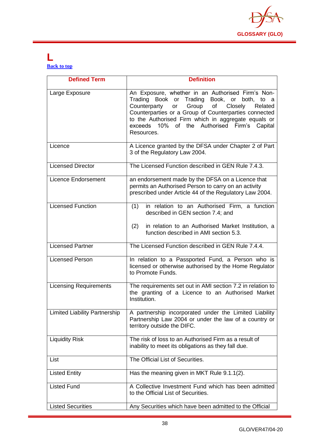

#### **L [Back to top](#page-1-0)**

| <b>Defined Term</b>                  | <b>Definition</b>                                                                                                                                                                                                                                                                                                                            |
|--------------------------------------|----------------------------------------------------------------------------------------------------------------------------------------------------------------------------------------------------------------------------------------------------------------------------------------------------------------------------------------------|
| Large Exposure                       | An Exposure, whether in an Authorised Firm's Non-<br>Trading Book or Trading Book, or both, to a<br>Group of<br>Counterparty<br>Closely<br>Related<br>or<br>Counterparties or a Group of Counterparties connected<br>to the Authorised Firm which in aggregate equals or<br>exceeds 10% of the Authorised<br>Firm's<br>Capital<br>Resources. |
| Licence                              | A Licence granted by the DFSA under Chapter 2 of Part<br>3 of the Regulatory Law 2004.                                                                                                                                                                                                                                                       |
| <b>Licensed Director</b>             | The Licensed Function described in GEN Rule 7.4.3.                                                                                                                                                                                                                                                                                           |
| <b>Licence Endorsement</b>           | an endorsement made by the DFSA on a Licence that<br>permits an Authorised Person to carry on an activity<br>prescribed under Article 44 of the Regulatory Law 2004.                                                                                                                                                                         |
| <b>Licensed Function</b>             | (1)<br>in relation to an Authorised Firm, a function<br>described in GEN section 7.4; and<br>(2)<br>in relation to an Authorised Market Institution, a<br>function described in AMI section 5.3.                                                                                                                                             |
| <b>Licensed Partner</b>              | The Licensed Function described in GEN Rule 7.4.4.                                                                                                                                                                                                                                                                                           |
| <b>Licensed Person</b>               | In relation to a Passported Fund, a Person who is<br>licensed or otherwise authorised by the Home Regulator<br>to Promote Funds.                                                                                                                                                                                                             |
| <b>Licensing Requirements</b>        | The requirements set out in AMI section 7.2 in relation to<br>the granting of a Licence to an Authorised Market<br>Institution.                                                                                                                                                                                                              |
| <b>Limited Liability Partnership</b> | A partnership incorporated under the Limited Liability<br>Partnership Law 2004 or under the law of a country or<br>territory outside the DIFC.                                                                                                                                                                                               |
| <b>Liquidity Risk</b>                | The risk of loss to an Authorised Firm as a result of<br>inability to meet its obligations as they fall due.                                                                                                                                                                                                                                 |
| List                                 | The Official List of Securities.                                                                                                                                                                                                                                                                                                             |
| <b>Listed Entity</b>                 | Has the meaning given in MKT Rule 9.1.1(2).                                                                                                                                                                                                                                                                                                  |
| <b>Listed Fund</b>                   | A Collective Investment Fund which has been admitted<br>to the Official List of Securities.                                                                                                                                                                                                                                                  |
| <b>Listed Securities</b>             | Any Securities which have been admitted to the Official                                                                                                                                                                                                                                                                                      |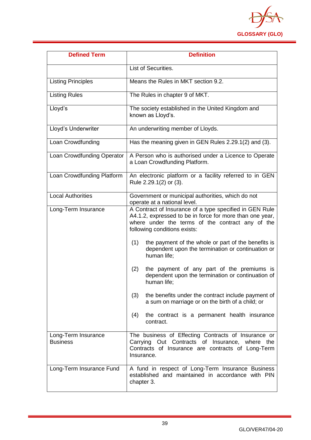

| <b>Defined Term</b>                    | <b>Definition</b>                                                                                                                                                                                       |
|----------------------------------------|---------------------------------------------------------------------------------------------------------------------------------------------------------------------------------------------------------|
|                                        | List of Securities.                                                                                                                                                                                     |
| <b>Listing Principles</b>              | Means the Rules in MKT section 9.2.                                                                                                                                                                     |
| <b>Listing Rules</b>                   | The Rules in chapter 9 of MKT.                                                                                                                                                                          |
| Lloyd's                                | The society established in the United Kingdom and<br>known as Lloyd's.                                                                                                                                  |
| Lloyd's Underwriter                    | An underwriting member of Lloyds.                                                                                                                                                                       |
| Loan Crowdfunding                      | Has the meaning given in GEN Rules 2.29.1(2) and (3).                                                                                                                                                   |
| Loan Crowdfunding Operator             | A Person who is authorised under a Licence to Operate<br>a Loan Crowdfunding Platform.                                                                                                                  |
| Loan Crowdfunding Platform             | An electronic platform or a facility referred to in GEN<br>Rule 2.29.1(2) or (3).                                                                                                                       |
| <b>Local Authorities</b>               | Government or municipal authorities, which do not<br>operate at a national level.                                                                                                                       |
| Long-Term Insurance                    | A Contract of Insurance of a type specified in GEN Rule<br>A4.1.2, expressed to be in force for more than one year,<br>where under the terms of the contract any of the<br>following conditions exists: |
|                                        | the payment of the whole or part of the benefits is<br>(1)<br>dependent upon the termination or continuation or<br>human life;                                                                          |
|                                        | (2)<br>the payment of any part of the premiums is<br>dependent upon the termination or continuation of<br>human life;                                                                                   |
|                                        | (3)<br>the benefits under the contract include payment of<br>a sum on marriage or on the birth of a child; or                                                                                           |
|                                        | the contract is a permanent health insurance<br>(4)<br>contract.                                                                                                                                        |
| Long-Term Insurance<br><b>Business</b> | The business of Effecting Contracts of Insurance or<br>Carrying Out Contracts of Insurance, where the<br>Contracts of Insurance are contracts of Long-Term<br>Insurance.                                |
| Long-Term Insurance Fund               | A fund in respect of Long-Term Insurance Business<br>established and maintained in accordance with PIN<br>chapter 3.                                                                                    |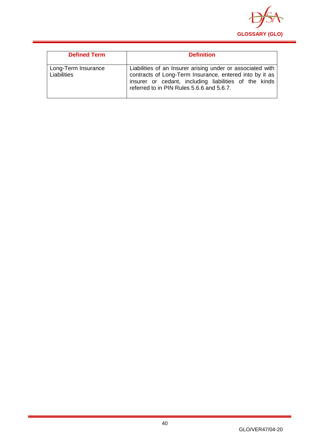

| <b>Defined Term</b>                | <b>Definition</b>                                                                                                                                                                                                           |
|------------------------------------|-----------------------------------------------------------------------------------------------------------------------------------------------------------------------------------------------------------------------------|
| Long-Term Insurance<br>Liabilities | Liabilities of an Insurer arising under or associated with<br>contracts of Long-Term Insurance, entered into by it as<br>insurer or cedant, including liabilities of the kinds<br>referred to in PIN Rules 5.6.6 and 5.6.7. |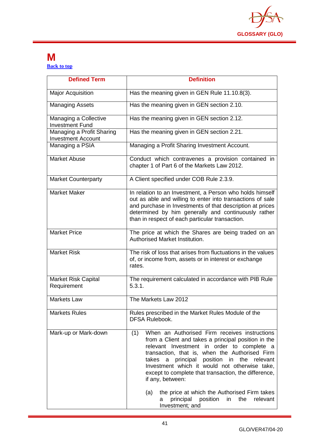

#### **M [Back to top](#page-1-0)**

| <b>Defined Term</b>                                    | <b>Definition</b>                                                                                                                                                                                                                                                                                                                                                                                                                                                                                                          |
|--------------------------------------------------------|----------------------------------------------------------------------------------------------------------------------------------------------------------------------------------------------------------------------------------------------------------------------------------------------------------------------------------------------------------------------------------------------------------------------------------------------------------------------------------------------------------------------------|
| <b>Major Acquisition</b>                               | Has the meaning given in GEN Rule 11.10.8(3).                                                                                                                                                                                                                                                                                                                                                                                                                                                                              |
| <b>Managing Assets</b>                                 | Has the meaning given in GEN section 2.10.                                                                                                                                                                                                                                                                                                                                                                                                                                                                                 |
| Managing a Collective<br><b>Investment Fund</b>        | Has the meaning given in GEN section 2.12.                                                                                                                                                                                                                                                                                                                                                                                                                                                                                 |
| Managing a Profit Sharing<br><b>Investment Account</b> | Has the meaning given in GEN section 2.21.                                                                                                                                                                                                                                                                                                                                                                                                                                                                                 |
| Managing a PSIA                                        | Managing a Profit Sharing Investment Account.                                                                                                                                                                                                                                                                                                                                                                                                                                                                              |
| <b>Market Abuse</b>                                    | Conduct which contravenes a provision contained in<br>chapter 1 of Part 6 of the Markets Law 2012.                                                                                                                                                                                                                                                                                                                                                                                                                         |
| <b>Market Counterparty</b>                             | A Client specified under COB Rule 2.3.9.                                                                                                                                                                                                                                                                                                                                                                                                                                                                                   |
| <b>Market Maker</b>                                    | In relation to an Investment, a Person who holds himself<br>out as able and willing to enter into transactions of sale<br>and purchase in Investments of that description at prices<br>determined by him generally and continuously rather<br>than in respect of each particular transaction.                                                                                                                                                                                                                              |
| <b>Market Price</b>                                    | The price at which the Shares are being traded on an<br>Authorised Market Institution.                                                                                                                                                                                                                                                                                                                                                                                                                                     |
| <b>Market Risk</b>                                     | The risk of loss that arises from fluctuations in the values<br>of, or income from, assets or in interest or exchange<br>rates.                                                                                                                                                                                                                                                                                                                                                                                            |
| <b>Market Risk Capital</b><br>Requirement              | The requirement calculated in accordance with PIB Rule<br>5.3.1.                                                                                                                                                                                                                                                                                                                                                                                                                                                           |
| <b>Markets Law</b>                                     | The Markets Law 2012                                                                                                                                                                                                                                                                                                                                                                                                                                                                                                       |
| <b>Markets Rules</b>                                   | Rules prescribed in the Market Rules Module of the<br><b>DFSA Rulebook.</b>                                                                                                                                                                                                                                                                                                                                                                                                                                                |
| Mark-up or Mark-down                                   | When an Authorised Firm receives instructions<br>(1)<br>from a Client and takes a principal position in the<br>relevant Investment in order to complete a<br>transaction, that is, when the Authorised Firm<br>a principal position in the relevant<br>takes<br>Investment which it would not otherwise take,<br>except to complete that transaction, the difference,<br>if any, between:<br>the price at which the Authorised Firm takes<br>(a)<br>position<br>relevant<br>principal<br>in<br>the<br>a<br>Investment; and |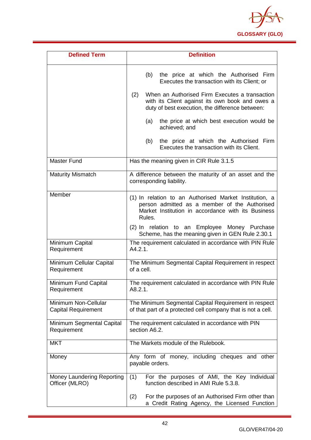

| <b>Defined Term</b>                                | <b>Definition</b>                                                                                                                                                                                                                                                            |
|----------------------------------------------------|------------------------------------------------------------------------------------------------------------------------------------------------------------------------------------------------------------------------------------------------------------------------------|
|                                                    | the price at which the Authorised Firm<br>(b)<br>Executes the transaction with its Client; or<br>When an Authorised Firm Executes a transaction<br>(2)<br>with its Client against its own book and owes a<br>duty of best execution, the difference between:                 |
|                                                    | the price at which best execution would be<br>(a)<br>achieved; and                                                                                                                                                                                                           |
|                                                    | (b)<br>the price at which the Authorised Firm<br>Executes the transaction with its Client.                                                                                                                                                                                   |
| <b>Master Fund</b>                                 | Has the meaning given in CIR Rule 3.1.5                                                                                                                                                                                                                                      |
| <b>Maturity Mismatch</b>                           | A difference between the maturity of an asset and the<br>corresponding liability.                                                                                                                                                                                            |
| Member                                             | (1) In relation to an Authorised Market Institution, a<br>person admitted as a member of the Authorised<br>Market Institution in accordance with its Business<br>Rules.<br>(2) In relation to an Employee Money Purchase<br>Scheme, has the meaning given in GEN Rule 2.30.1 |
| Minimum Capital<br>Requirement                     | The requirement calculated in accordance with PIN Rule<br>A4.2.1.                                                                                                                                                                                                            |
| Minimum Cellular Capital<br>Requirement            | The Minimum Segmental Capital Requirement in respect<br>of a cell.                                                                                                                                                                                                           |
| Minimum Fund Capital<br>Requirement                | The requirement calculated in accordance with PIN Rule<br>A8.2.1.                                                                                                                                                                                                            |
| Minimum Non-Cellular<br><b>Capital Requirement</b> | The Minimum Segmental Capital Requirement in respect<br>of that part of a protected cell company that is not a cell.                                                                                                                                                         |
| Minimum Segmental Capital<br>Requirement           | The requirement calculated in accordance with PIN<br>section A6.2.                                                                                                                                                                                                           |
| <b>MKT</b>                                         | The Markets module of the Rulebook.                                                                                                                                                                                                                                          |
| Money                                              | Any form of money, including cheques and other<br>payable orders.                                                                                                                                                                                                            |
| Money Laundering Reporting<br>Officer (MLRO)       | For the purposes of AMI, the Key Individual<br>(1)<br>function described in AMI Rule 5.3.8.                                                                                                                                                                                  |
|                                                    | For the purposes of an Authorised Firm other than<br>(2)<br>a Credit Rating Agency, the Licensed Function                                                                                                                                                                    |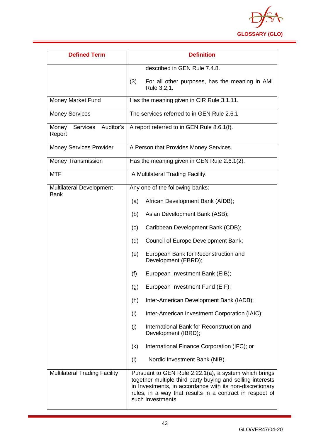

| <b>Defined Term</b>                            | <b>Definition</b>                                                                                                                                                                                                                                                |
|------------------------------------------------|------------------------------------------------------------------------------------------------------------------------------------------------------------------------------------------------------------------------------------------------------------------|
|                                                | described in GEN Rule 7.4.8.                                                                                                                                                                                                                                     |
|                                                | For all other purposes, has the meaning in AML<br>(3)<br>Rule 3.2.1.                                                                                                                                                                                             |
| Money Market Fund                              | Has the meaning given in CIR Rule 3.1.11.                                                                                                                                                                                                                        |
| <b>Money Services</b>                          | The services referred to in GEN Rule 2.6.1                                                                                                                                                                                                                       |
| Services Auditor's<br>Money<br>Report          | A report referred to in GEN Rule 8.6.1(f).                                                                                                                                                                                                                       |
| <b>Money Services Provider</b>                 | A Person that Provides Money Services.                                                                                                                                                                                                                           |
| <b>Money Transmission</b>                      | Has the meaning given in GEN Rule 2.6.1(2).                                                                                                                                                                                                                      |
| <b>MTF</b>                                     | A Multilateral Trading Facility.                                                                                                                                                                                                                                 |
| <b>Multilateral Development</b><br><b>Bank</b> | Any one of the following banks:                                                                                                                                                                                                                                  |
|                                                | African Development Bank (AfDB);<br>(a)                                                                                                                                                                                                                          |
|                                                | (b)<br>Asian Development Bank (ASB);                                                                                                                                                                                                                             |
|                                                | Caribbean Development Bank (CDB);<br>(c)                                                                                                                                                                                                                         |
|                                                | Council of Europe Development Bank;<br>(d)                                                                                                                                                                                                                       |
|                                                | (e)<br>European Bank for Reconstruction and<br>Development (EBRD);                                                                                                                                                                                               |
|                                                | (f)<br>European Investment Bank (EIB);                                                                                                                                                                                                                           |
|                                                | European Investment Fund (EIF);<br>(g)                                                                                                                                                                                                                           |
|                                                | (h)<br>Inter-American Development Bank (IADB);                                                                                                                                                                                                                   |
|                                                | Inter-American Investment Corporation (IAIC);<br>(i)                                                                                                                                                                                                             |
|                                                | International Bank for Reconstruction and<br>(j)<br>Development (IBRD);                                                                                                                                                                                          |
|                                                | International Finance Corporation (IFC); or<br>(k)                                                                                                                                                                                                               |
|                                                | (1)<br>Nordic Investment Bank (NIB).                                                                                                                                                                                                                             |
| <b>Multilateral Trading Facility</b>           | Pursuant to GEN Rule 2.22.1(a), a system which brings<br>together multiple third party buying and selling interests<br>in Investments, in accordance with its non-discretionary<br>rules, in a way that results in a contract in respect of<br>such Investments. |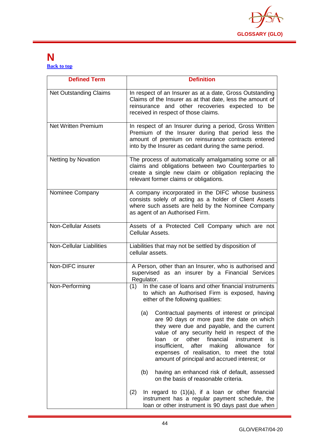

#### **N [Back to top](#page-1-0)**

| <b>Defined Term</b>             | <b>Definition</b>                                                                                                                                                                                                                                                                                                                                                                                              |
|---------------------------------|----------------------------------------------------------------------------------------------------------------------------------------------------------------------------------------------------------------------------------------------------------------------------------------------------------------------------------------------------------------------------------------------------------------|
| <b>Net Outstanding Claims</b>   | In respect of an Insurer as at a date, Gross Outstanding<br>Claims of the Insurer as at that date, less the amount of<br>reinsurance and other recoveries expected to be<br>received in respect of those claims.                                                                                                                                                                                               |
| <b>Net Written Premium</b>      | In respect of an Insurer during a period, Gross Written<br>Premium of the Insurer during that period less the<br>amount of premium on reinsurance contracts entered<br>into by the Insurer as cedant during the same period.                                                                                                                                                                                   |
| <b>Netting by Novation</b>      | The process of automatically amalgamating some or all<br>claims and obligations between two Counterparties to<br>create a single new claim or obligation replacing the<br>relevant former claims or obligations.                                                                                                                                                                                               |
| Nominee Company                 | A company incorporated in the DIFC whose business<br>consists solely of acting as a holder of Client Assets<br>where such assets are held by the Nominee Company<br>as agent of an Authorised Firm.                                                                                                                                                                                                            |
| <b>Non-Cellular Assets</b>      | Assets of a Protected Cell Company which are not<br>Cellular Assets.                                                                                                                                                                                                                                                                                                                                           |
| <b>Non-Cellular Liabilities</b> | Liabilities that may not be settled by disposition of<br>cellular assets.                                                                                                                                                                                                                                                                                                                                      |
| Non-DIFC insurer                | A Person, other than an Insurer, who is authorised and<br>supervised as an insurer by a Financial Services<br>Regulator.                                                                                                                                                                                                                                                                                       |
| Non-Performing                  | In the case of loans and other financial instruments<br>(1)<br>to which an Authorised Firm is exposed, having<br>either of the following qualities:                                                                                                                                                                                                                                                            |
|                                 | (a)<br>Contractual payments of interest or principal<br>are 90 days or more past the date on which<br>they were due and payable, and the current<br>value of any security held in respect of the<br>financial<br>or<br>other<br>instrument<br>loan<br>is<br>after<br>insufficient,<br>making<br>for<br>allowance<br>expenses of realisation, to meet the total<br>amount of principal and accrued interest; or |
|                                 | having an enhanced risk of default, assessed<br>(b)<br>on the basis of reasonable criteria.                                                                                                                                                                                                                                                                                                                    |
|                                 | (2)<br>In regard to $(1)(a)$ , if a loan or other financial<br>instrument has a regular payment schedule, the<br>loan or other instrument is 90 days past due when                                                                                                                                                                                                                                             |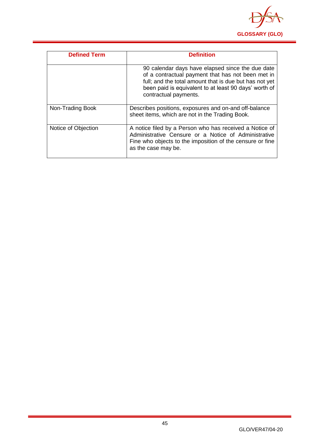

| <b>Defined Term</b> | <b>Definition</b>                                                                                                                                                                                                                                 |
|---------------------|---------------------------------------------------------------------------------------------------------------------------------------------------------------------------------------------------------------------------------------------------|
|                     | 90 calendar days have elapsed since the due date<br>of a contractual payment that has not been met in<br>full; and the total amount that is due but has not yet<br>been paid is equivalent to at least 90 days' worth of<br>contractual payments. |
| Non-Trading Book    | Describes positions, exposures and on-and off-balance<br>sheet items, which are not in the Trading Book.                                                                                                                                          |
| Notice of Objection | A notice filed by a Person who has received a Notice of<br>Administrative Censure or a Notice of Administrative<br>Fine who objects to the imposition of the censure or fine<br>as the case may be.                                               |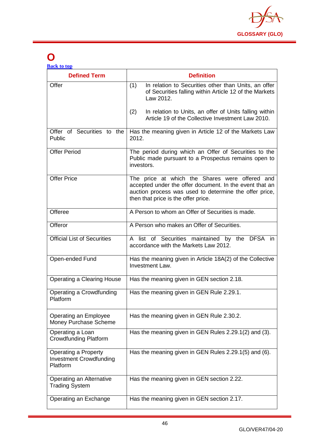

## **O**

| <b>Back to top</b> |  |  |
|--------------------|--|--|
|                    |  |  |

| <b>Defined Term</b>                                                       | <b>Definition</b>                                                                                                                                                                                          |
|---------------------------------------------------------------------------|------------------------------------------------------------------------------------------------------------------------------------------------------------------------------------------------------------|
| Offer                                                                     | (1)<br>In relation to Securities other than Units, an offer<br>of Securities falling within Article 12 of the Markets<br>Law 2012.                                                                         |
|                                                                           | (2)<br>In relation to Units, an offer of Units falling within<br>Article 19 of the Collective Investment Law 2010.                                                                                         |
| Offer of Securities to the<br>Public                                      | Has the meaning given in Article 12 of the Markets Law<br>2012.                                                                                                                                            |
| <b>Offer Period</b>                                                       | The period during which an Offer of Securities to the<br>Public made pursuant to a Prospectus remains open to<br>investors.                                                                                |
| <b>Offer Price</b>                                                        | The price at which the Shares were offered and<br>accepted under the offer document. In the event that an<br>auction process was used to determine the offer price,<br>then that price is the offer price. |
| Offeree                                                                   | A Person to whom an Offer of Securities is made.                                                                                                                                                           |
| Offeror                                                                   | A Person who makes an Offer of Securities.                                                                                                                                                                 |
| <b>Official List of Securities</b>                                        | A list of Securities maintained by the DFSA in<br>accordance with the Markets Law 2012.                                                                                                                    |
| Open-ended Fund                                                           | Has the meaning given in Article 18A(2) of the Collective<br>Investment Law.                                                                                                                               |
| <b>Operating a Clearing House</b>                                         | Has the meaning given in GEN section 2.18.                                                                                                                                                                 |
| Operating a Crowdfunding<br>Platform                                      | Has the meaning given in GEN Rule 2.29.1.                                                                                                                                                                  |
| Operating an Employee<br>Money Purchase Scheme                            | Has the meaning given in GEN Rule 2.30.2.                                                                                                                                                                  |
| Operating a Loan<br><b>Crowdfunding Platform</b>                          | Has the meaning given in GEN Rules 2.29.1(2) and (3).                                                                                                                                                      |
| <b>Operating a Property</b><br><b>Investment Crowdfunding</b><br>Platform | Has the meaning given in GEN Rules 2.29.1(5) and (6).                                                                                                                                                      |
| Operating an Alternative<br><b>Trading System</b>                         | Has the meaning given in GEN section 2.22.                                                                                                                                                                 |
| Operating an Exchange                                                     | Has the meaning given in GEN section 2.17.                                                                                                                                                                 |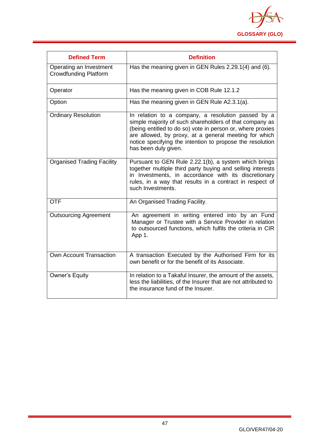

| <b>Defined Term</b>                                     | <b>Definition</b>                                                                                                                                                                                                                                                                                                         |
|---------------------------------------------------------|---------------------------------------------------------------------------------------------------------------------------------------------------------------------------------------------------------------------------------------------------------------------------------------------------------------------------|
| Operating an Investment<br><b>Crowdfunding Platform</b> | Has the meaning given in GEN Rules 2.29.1(4) and (6).                                                                                                                                                                                                                                                                     |
| Operator                                                | Has the meaning given in COB Rule 12.1.2                                                                                                                                                                                                                                                                                  |
| Option                                                  | Has the meaning given in GEN Rule A2.3.1(a).                                                                                                                                                                                                                                                                              |
| <b>Ordinary Resolution</b>                              | In relation to a company, a resolution passed by a<br>simple majority of such shareholders of that company as<br>(being entitled to do so) vote in person or, where proxies<br>are allowed, by proxy, at a general meeting for which<br>notice specifying the intention to propose the resolution<br>has been duly given. |
| <b>Organised Trading Facility</b>                       | Pursuant to GEN Rule 2.22.1(b), a system which brings<br>together multiple third party buying and selling interests<br>in Investments, in accordance with its discretionary<br>rules, in a way that results in a contract in respect of<br>such Investments.                                                              |
| <b>OTF</b>                                              | An Organised Trading Facility.                                                                                                                                                                                                                                                                                            |
| <b>Outsourcing Agreement</b>                            | An agreement in writing entered into by an Fund<br>Manager or Trustee with a Service Provider in relation<br>to outsourced functions, which fulfils the criteria in CIR<br>App 1.                                                                                                                                         |
| Own Account Transaction                                 | A transaction Executed by the Authorised Firm for its<br>own benefit or for the benefit of its Associate.                                                                                                                                                                                                                 |
| Owner's Equity                                          | In relation to a Takaful Insurer, the amount of the assets,<br>less the liabilities, of the Insurer that are not attributed to<br>the insurance fund of the Insurer.                                                                                                                                                      |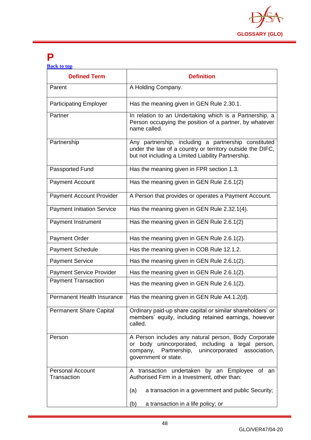

### **P**

| <b>Back to top</b> |  |  |
|--------------------|--|--|
|                    |  |  |
|                    |  |  |

| <b>Defined Term</b>                    | <b>Definition</b>                                                                                                                                                                               |
|----------------------------------------|-------------------------------------------------------------------------------------------------------------------------------------------------------------------------------------------------|
| Parent                                 | A Holding Company.                                                                                                                                                                              |
| <b>Participating Employer</b>          | Has the meaning given in GEN Rule 2.30.1.                                                                                                                                                       |
| Partner                                | In relation to an Undertaking which is a Partnership, a<br>Person occupying the position of a partner, by whatever<br>name called.                                                              |
| Partnership                            | Any partnership, including a partnership constituted<br>under the law of a country or territory outside the DIFC,<br>but not including a Limited Liability Partnership.                         |
| Passported Fund                        | Has the meaning given in FPR section 1.3.                                                                                                                                                       |
| <b>Payment Account</b>                 | Has the meaning given in GEN Rule 2.6.1(2)                                                                                                                                                      |
| <b>Payment Account Provider</b>        | A Person that provides or operates a Payment Account.                                                                                                                                           |
| <b>Payment Initiation Service</b>      | Has the meaning given in GEN Rule 2.32.1(4).                                                                                                                                                    |
| Payment Instrument                     | Has the meaning given in GEN Rule 2.6.1(2)                                                                                                                                                      |
| <b>Payment Order</b>                   | Has the meaning given in GEN Rule 2.6.1(2).                                                                                                                                                     |
| <b>Payment Schedule</b>                | Has the meaning given in COB Rule 12.1.2.                                                                                                                                                       |
| <b>Payment Service</b>                 | Has the meaning given in GEN Rule 2.6.1(2).                                                                                                                                                     |
| <b>Payment Service Provider</b>        | Has the meaning given in GEN Rule 2.6.1(2).                                                                                                                                                     |
| <b>Payment Transaction</b>             | Has the meaning given in GEN Rule 2.6.1(2).                                                                                                                                                     |
| Permanent Health Insurance             | Has the meaning given in GEN Rule A4.1.2(d).                                                                                                                                                    |
| <b>Permanent Share Capital</b>         | Ordinary paid-up share capital or similar shareholders' or<br>members' equity, including retained earnings, however<br>called.                                                                  |
| Person                                 | A Person includes any natural person, Body Corporate<br>or body unincorporated, including a legal person,<br>company,<br>Partnership,<br>unincorporated<br>association,<br>government or state. |
| <b>Personal Account</b><br>Transaction | A transaction undertaken by an Employee<br>of an<br>Authorised Firm in a Investment, other than:                                                                                                |
|                                        | a transaction in a government and public Security;<br>(a)                                                                                                                                       |
|                                        | (b)<br>a transaction in a life policy; or                                                                                                                                                       |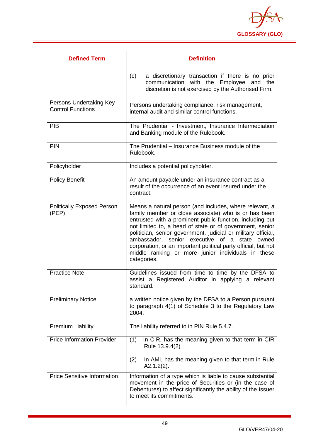

| <b>Defined Term</b>                                 | <b>Definition</b>                                                                                                                                                                                                                                                                                                                                                                                                                                                                                             |
|-----------------------------------------------------|---------------------------------------------------------------------------------------------------------------------------------------------------------------------------------------------------------------------------------------------------------------------------------------------------------------------------------------------------------------------------------------------------------------------------------------------------------------------------------------------------------------|
|                                                     | a discretionary transaction if there is no prior<br>(c)<br>with the Employee and<br>communication<br>the<br>discretion is not exercised by the Authorised Firm.                                                                                                                                                                                                                                                                                                                                               |
| Persons Undertaking Key<br><b>Control Functions</b> | Persons undertaking compliance, risk management,<br>internal audit and similar control functions.                                                                                                                                                                                                                                                                                                                                                                                                             |
| PIB                                                 | The Prudential - Investment, Insurance Intermediation<br>and Banking module of the Rulebook.                                                                                                                                                                                                                                                                                                                                                                                                                  |
| <b>PIN</b>                                          | The Prudential – Insurance Business module of the<br>Rulebook.                                                                                                                                                                                                                                                                                                                                                                                                                                                |
| Policyholder                                        | Includes a potential policyholder.                                                                                                                                                                                                                                                                                                                                                                                                                                                                            |
| <b>Policy Benefit</b>                               | An amount payable under an insurance contract as a<br>result of the occurrence of an event insured under the<br>contract.                                                                                                                                                                                                                                                                                                                                                                                     |
| <b>Politically Exposed Person</b><br>(PEP)          | Means a natural person (and includes, where relevant, a<br>family member or close associate) who is or has been<br>entrusted with a prominent public function, including but<br>not limited to, a head of state or of government, senior<br>politician, senior government, judicial or military official,<br>ambassador, senior executive<br>of<br>a<br>state<br>owned<br>corporation, or an important political party official, but not<br>middle ranking or more junior individuals in these<br>categories. |
| <b>Practice Note</b>                                | Guidelines issued from time to time by the DFSA to<br>assist a Registered Auditor in applying a relevant<br>standard.                                                                                                                                                                                                                                                                                                                                                                                         |
| <b>Preliminary Notice</b>                           | a written notice given by the DFSA to a Person pursuant<br>to paragraph 4(1) of Schedule 3 to the Regulatory Law<br>2004.                                                                                                                                                                                                                                                                                                                                                                                     |
| <b>Premium Liability</b>                            | The liability referred to in PIN Rule 5.4.7.                                                                                                                                                                                                                                                                                                                                                                                                                                                                  |
| <b>Price Information Provider</b>                   | In CIR, has the meaning given to that term in CIR<br>(1)<br>Rule 13.9.4(2).                                                                                                                                                                                                                                                                                                                                                                                                                                   |
|                                                     | In AMI, has the meaning given to that term in Rule<br>(2)<br>$A2.1.2(2)$ .                                                                                                                                                                                                                                                                                                                                                                                                                                    |
| <b>Price Sensitive Information</b>                  | Information of a type which is liable to cause substantial<br>movement in the price of Securities or (in the case of<br>Debentures) to affect significantly the ability of the Issuer<br>to meet its commitments.                                                                                                                                                                                                                                                                                             |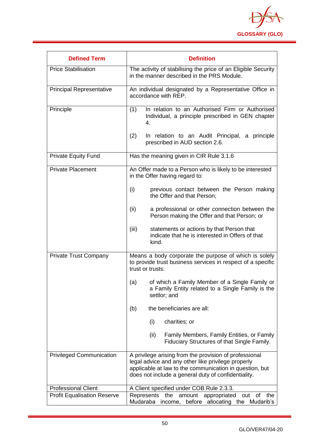

| <b>Defined Term</b>                | <b>Definition</b>                                                                                                                                                                                                              |  |
|------------------------------------|--------------------------------------------------------------------------------------------------------------------------------------------------------------------------------------------------------------------------------|--|
| <b>Price Stabilisation</b>         | The activity of stabilising the price of an Eligible Security<br>in the manner described in the PRS Module.                                                                                                                    |  |
| <b>Principal Representative</b>    | An individual designated by a Representative Office in<br>accordance with REP.                                                                                                                                                 |  |
| Principle                          | In relation to an Authorised Firm or Authorised<br>(1)<br>Individual, a principle prescribed in GEN chapter<br>4.                                                                                                              |  |
|                                    | (2)<br>In relation to an Audit Principal, a principle<br>prescribed in AUD section 2.6.                                                                                                                                        |  |
| <b>Private Equity Fund</b>         | Has the meaning given in CIR Rule 3.1.6                                                                                                                                                                                        |  |
| <b>Private Placement</b>           | An Offer made to a Person who is likely to be interested<br>in the Offer having regard to:                                                                                                                                     |  |
|                                    | (i)<br>previous contact between the Person making<br>the Offer and that Person;                                                                                                                                                |  |
|                                    | (ii)<br>a professional or other connection between the<br>Person making the Offer and that Person; or                                                                                                                          |  |
|                                    | (iii)<br>statements or actions by that Person that<br>indicate that he is interested in Offers of that<br>kind.                                                                                                                |  |
| <b>Private Trust Company</b>       | Means a body corporate the purpose of which is solely<br>to provide trust business services in respect of a specific<br>trust or trusts:                                                                                       |  |
|                                    | of which a Family Member of a Single Family or<br>(a)<br>a Family Entity related to a Single Family is the<br>settlor; and                                                                                                     |  |
|                                    | the beneficiaries are all:<br>(b)                                                                                                                                                                                              |  |
|                                    | (i)<br>charities; or                                                                                                                                                                                                           |  |
|                                    | (ii)<br>Family Members, Family Entities, or Family<br>Fiduciary Structures of that Single Family.                                                                                                                              |  |
| <b>Privileged Communication</b>    | A privilege arising from the provision of professional<br>legal advice and any other like privilege properly<br>applicable at law to the communication in question, but<br>does not include a general duty of confidentiality. |  |
| <b>Professional Client</b>         | A Client specified under COB Rule 2.3.3.                                                                                                                                                                                       |  |
| <b>Profit Equalisation Reserve</b> | Represents<br>amount<br>appropriated<br>the<br>of<br>the<br>out<br>Mudaraba<br>before<br>allocating<br>the Mudarib's<br>income,                                                                                                |  |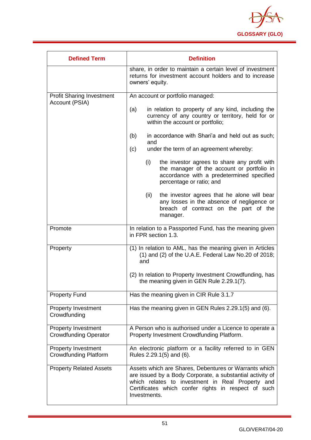

| <b>Defined Term</b>                                        | <b>Definition</b>                                                                                                                                                                                                                             |  |
|------------------------------------------------------------|-----------------------------------------------------------------------------------------------------------------------------------------------------------------------------------------------------------------------------------------------|--|
|                                                            | share, in order to maintain a certain level of investment<br>returns for investment account holders and to increase<br>owners' equity.                                                                                                        |  |
| <b>Profit Sharing Investment</b><br>Account (PSIA)         | An account or portfolio managed:                                                                                                                                                                                                              |  |
|                                                            | in relation to property of any kind, including the<br>(a)<br>currency of any country or territory, held for or<br>within the account or portfolio;                                                                                            |  |
|                                                            | in accordance with Shari'a and held out as such;<br>(b)<br>and<br>under the term of an agreement whereby:<br>(c)                                                                                                                              |  |
|                                                            | (i)<br>the investor agrees to share any profit with<br>the manager of the account or portfolio in<br>accordance with a predetermined specified<br>percentage or ratio; and                                                                    |  |
|                                                            | (ii)<br>the investor agrees that he alone will bear<br>any losses in the absence of negligence or<br>breach of contract on the part of the<br>manager.                                                                                        |  |
| Promote                                                    | In relation to a Passported Fund, has the meaning given<br>in FPR section 1.3.                                                                                                                                                                |  |
| Property                                                   | (1) In relation to AML, has the meaning given in Articles<br>$(1)$ and $(2)$ of the U.A.E. Federal Law No.20 of 2018;<br>and                                                                                                                  |  |
|                                                            | (2) In relation to Property Investment Crowdfunding, has<br>the meaning given in GEN Rule 2.29.1(7).                                                                                                                                          |  |
| <b>Property Fund</b>                                       | Has the meaning given in CIR Rule 3.1.7                                                                                                                                                                                                       |  |
| <b>Property Investment</b><br>Crowdfunding                 | Has the meaning given in GEN Rules 2.29.1(5) and (6).                                                                                                                                                                                         |  |
| <b>Property Investment</b><br><b>Crowdfunding Operator</b> | A Person who is authorised under a Licence to operate a<br>Property Investment Crowdfunding Platform.                                                                                                                                         |  |
| <b>Property Investment</b><br><b>Crowdfunding Platform</b> | An electronic platform or a facility referred to in GEN<br>Rules 2.29.1(5) and (6).                                                                                                                                                           |  |
| <b>Property Related Assets</b>                             | Assets which are Shares, Debentures or Warrants which<br>are issued by a Body Corporate, a substantial activity of<br>which relates to investment in Real Property and<br>Certificates which confer rights in respect of such<br>Investments. |  |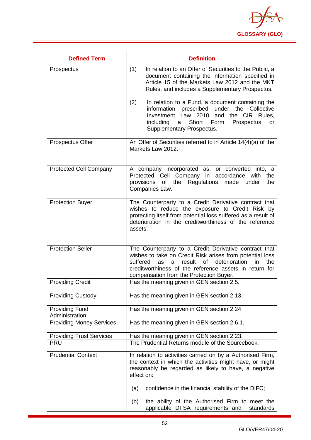

| <b>Defined Term</b>                     | <b>Definition</b>                                                                                                                                                                                                                                                                                  |
|-----------------------------------------|----------------------------------------------------------------------------------------------------------------------------------------------------------------------------------------------------------------------------------------------------------------------------------------------------|
| Prospectus                              | In relation to an Offer of Securities to the Public, a<br>(1)<br>document containing the information specified in<br>Article 15 of the Markets Law 2012 and the MKT<br>Rules, and includes a Supplementary Prospectus.                                                                             |
|                                         | (2)<br>In relation to a Fund, a document containing the<br>prescribed<br>under the<br>information<br>Collective<br>Investment Law 2010<br>and the CIR<br>Rules.<br>Short<br>including<br>Form<br>Prospectus<br>a<br>or<br>Supplementary Prospectus.                                                |
| Prospectus Offer                        | An Offer of Securities referred to in Article 14(4)(a) of the<br>Markets Law 2012.                                                                                                                                                                                                                 |
| <b>Protected Cell Company</b>           | A company incorporated as, or converted into, a<br>Protected Cell Company in accordance with<br>the<br>of the Regulations<br>made<br>provisions<br>under<br>the<br>Companies Law.                                                                                                                  |
| <b>Protection Buyer</b>                 | The Counterparty to a Credit Derivative contract that<br>wishes to reduce the exposure to Credit Risk by<br>protecting itself from potential loss suffered as a result of<br>deterioration in the creditworthiness of the reference<br>assets.                                                     |
| <b>Protection Seller</b>                | The Counterparty to a Credit Derivative contract that<br>wishes to take on Credit Risk arises from potential loss<br><b>of</b><br>deterioration<br>suffered<br>result<br>in<br>the<br>as<br>a<br>creditworthiness of the reference assets in return for<br>compensation from the Protection Buyer. |
| <b>Providing Credit</b>                 | Has the meaning given in GEN section 2.5.                                                                                                                                                                                                                                                          |
| <b>Providing Custody</b>                | Has the meaning given in GEN section 2.13.                                                                                                                                                                                                                                                         |
| <b>Providing Fund</b><br>Administration | Has the meaning given in GEN section 2.24                                                                                                                                                                                                                                                          |
| <b>Providing Money Services</b>         | Has the meaning given in GEN section 2.6.1.                                                                                                                                                                                                                                                        |
| <b>Providing Trust Services</b>         | Has the meaning given in GEN section 2.23.                                                                                                                                                                                                                                                         |
| <b>PRU</b>                              | The Prudential Returns module of the Sourcebook.                                                                                                                                                                                                                                                   |
| <b>Prudential Context</b>               | In relation to activities carried on by a Authorised Firm,<br>the context in which the activities might have, or might<br>reasonably be regarded as likely to have, a negative<br>effect on:                                                                                                       |
|                                         | confidence in the financial stability of the DIFC;<br>(a)                                                                                                                                                                                                                                          |
|                                         | the ability of the Authorised Firm to meet the<br>(b)<br>applicable DFSA requirements and<br>standards                                                                                                                                                                                             |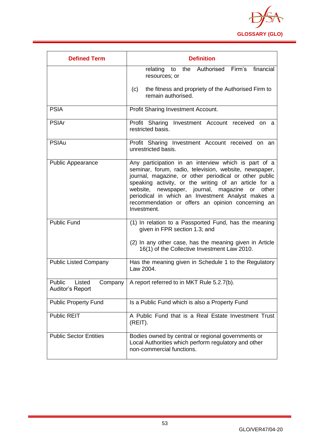

| <b>Defined Term</b>                             | <b>Definition</b>                                                                                                                                                                                                                                                                                                                                                                                                     |
|-------------------------------------------------|-----------------------------------------------------------------------------------------------------------------------------------------------------------------------------------------------------------------------------------------------------------------------------------------------------------------------------------------------------------------------------------------------------------------------|
|                                                 | relating to the Authorised Firm's<br>financial<br>resources; or                                                                                                                                                                                                                                                                                                                                                       |
|                                                 | the fitness and propriety of the Authorised Firm to<br>(c)<br>remain authorised.                                                                                                                                                                                                                                                                                                                                      |
| <b>PSIA</b>                                     | Profit Sharing Investment Account.                                                                                                                                                                                                                                                                                                                                                                                    |
| <b>PSIAr</b>                                    | Profit Sharing Investment Account received on a<br>restricted basis.                                                                                                                                                                                                                                                                                                                                                  |
| <b>PSIAu</b>                                    | Profit Sharing Investment Account received on an<br>unrestricted basis.                                                                                                                                                                                                                                                                                                                                               |
| <b>Public Appearance</b>                        | Any participation in an interview which is part of a<br>seminar, forum, radio, television, website, newspaper,<br>journal, magazine, or other periodical or other public<br>speaking activity, or the writing of an article for a<br>newspaper, journal, magazine<br>website,<br>or<br>other<br>periodical in which an Investment Analyst makes a<br>recommendation or offers an opinion concerning an<br>Investment. |
| <b>Public Fund</b>                              | (1) In relation to a Passported Fund, has the meaning<br>given in FPR section 1.3; and<br>(2) In any other case, has the meaning given in Article<br>16(1) of the Collective Investment Law 2010.                                                                                                                                                                                                                     |
| <b>Public Listed Company</b>                    | Has the meaning given in Schedule 1 to the Regulatory<br>Law 2004.                                                                                                                                                                                                                                                                                                                                                    |
| Public<br>Listed<br>Company<br>Auditor's Report | A report referred to in MKT Rule 5.2.7(b).                                                                                                                                                                                                                                                                                                                                                                            |
| <b>Public Property Fund</b>                     | Is a Public Fund which is also a Property Fund                                                                                                                                                                                                                                                                                                                                                                        |
| <b>Public REIT</b>                              | A Public Fund that is a Real Estate Investment Trust<br>(REIT).                                                                                                                                                                                                                                                                                                                                                       |
| <b>Public Sector Entities</b>                   | Bodies owned by central or regional governments or<br>Local Authorities which perform regulatory and other<br>non-commercial functions.                                                                                                                                                                                                                                                                               |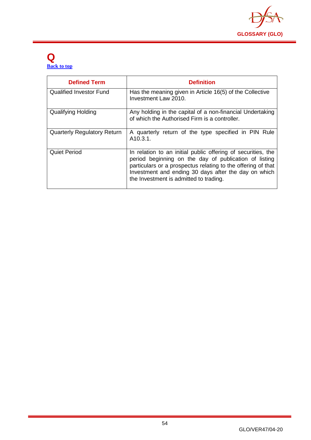

#### **Q [Back to top](#page-1-0)**

| <b>Defined Term</b>                | <b>Definition</b>                                                                                                                                                                                                                                                                       |
|------------------------------------|-----------------------------------------------------------------------------------------------------------------------------------------------------------------------------------------------------------------------------------------------------------------------------------------|
| <b>Qualified Investor Fund</b>     | Has the meaning given in Article 16(5) of the Collective<br>Investment Law 2010.                                                                                                                                                                                                        |
| <b>Qualifying Holding</b>          | Any holding in the capital of a non-financial Undertaking<br>of which the Authorised Firm is a controller.                                                                                                                                                                              |
| <b>Quarterly Regulatory Return</b> | A quarterly return of the type specified in PIN Rule<br>A <sub>10.3.1</sub> .                                                                                                                                                                                                           |
| <b>Quiet Period</b>                | In relation to an initial public offering of securities, the<br>period beginning on the day of publication of listing<br>particulars or a prospectus relating to the offering of that<br>Investment and ending 30 days after the day on which<br>the Investment is admitted to trading. |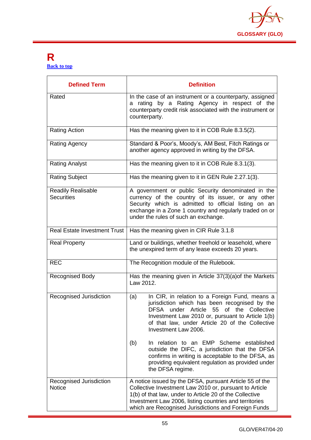

#### **R [Back to top](#page-1-0)**

| <b>Defined Term</b>                      | <b>Definition</b>                                                                                                                                                                                                                                                                              |
|------------------------------------------|------------------------------------------------------------------------------------------------------------------------------------------------------------------------------------------------------------------------------------------------------------------------------------------------|
| Rated                                    | In the case of an instrument or a counterparty, assigned<br>a rating by a Rating Agency in respect of the<br>counterparty credit risk associated with the instrument or<br>counterparty.                                                                                                       |
| <b>Rating Action</b>                     | Has the meaning given to it in COB Rule 8.3.5(2).                                                                                                                                                                                                                                              |
| Rating Agency                            | Standard & Poor's, Moody's, AM Best, Fitch Ratings or<br>another agency approved in writing by the DFSA.                                                                                                                                                                                       |
| <b>Rating Analyst</b>                    | Has the meaning given to it in COB Rule 8.3.1(3).                                                                                                                                                                                                                                              |
| <b>Rating Subject</b>                    | Has the meaning given to it in GEN Rule 2.27.1(3).                                                                                                                                                                                                                                             |
| Readily Realisable<br><b>Securities</b>  | A government or public Security denominated in the<br>currency of the country of its issuer, or any other<br>Security which is admitted to official listing on an<br>exchange in a Zone 1 country and regularly traded on or<br>under the rules of such an exchange.                           |
| <b>Real Estate Investment Trust</b>      | Has the meaning given in CIR Rule 3.1.8                                                                                                                                                                                                                                                        |
| <b>Real Property</b>                     | Land or buildings, whether freehold or leasehold, where<br>the unexpired term of any lease exceeds 20 years.                                                                                                                                                                                   |
| <b>REC</b>                               | The Recognition module of the Rulebook.                                                                                                                                                                                                                                                        |
| <b>Recognised Body</b>                   | Has the meaning given in Article 37(3)(a) of the Markets<br>Law 2012.                                                                                                                                                                                                                          |
| Recognised Jurisdiction                  | In CIR, in relation to a Foreign Fund, means a<br>(a)<br>jurisdiction which has been recognised by the<br>DFSA under Article 55 of the Collective<br>Investment Law 2010 or, pursuant to Article 1(b)<br>of that law, under Article 20 of the Collective<br>Investment Law 2006.               |
|                                          | (b)<br>In relation to an EMP Scheme established<br>outside the DIFC, a jurisdiction that the DFSA<br>confirms in writing is acceptable to the DFSA, as<br>providing equivalent regulation as provided under<br>the DFSA regime.                                                                |
| Recognised Jurisdiction<br><b>Notice</b> | A notice issued by the DFSA, pursuant Article 55 of the<br>Collective Investment Law 2010 or, pursuant to Article<br>1(b) of that law, under to Article 20 of the Collective<br>Investment Law 2006, listing countries and territories<br>which are Recognised Jurisdictions and Foreign Funds |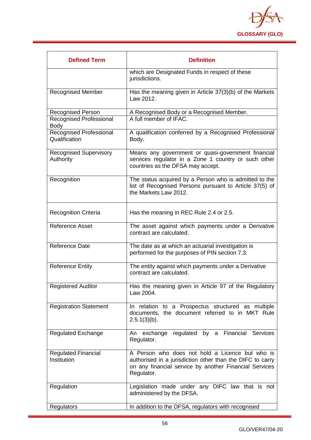

| <b>Defined Term</b>                        | <b>Definition</b>                                                                                                                                                                    |
|--------------------------------------------|--------------------------------------------------------------------------------------------------------------------------------------------------------------------------------------|
|                                            | which are Designated Funds in respect of these<br>jurisdictions.                                                                                                                     |
| <b>Recognised Member</b>                   | Has the meaning given in Article 37(3)(b) of the Markets<br>Law 2012.                                                                                                                |
| <b>Recognised Person</b>                   | A Recognised Body or a Recognised Member.                                                                                                                                            |
| Recognised Professional<br>Body            | A full member of IFAC.                                                                                                                                                               |
| Recognised Professional<br>Qualification   | A qualification conferred by a Recognised Professional<br>Body.                                                                                                                      |
| <b>Recognised Supervisory</b><br>Authority | Means any government or quasi-government financial<br>services regulator in a Zone 1 country or such other<br>countries as the DFSA may accept.                                      |
| Recognition                                | The status acquired by a Person who is admitted to the<br>list of Recognised Persons pursuant to Article 37(5) of<br>the Markets Law 2012.                                           |
| <b>Recognition Criteria</b>                | Has the meaning in REC Rule 2.4 or 2.5.                                                                                                                                              |
| Reference Asset                            | The asset against which payments under a Derivative<br>contract are calculated.                                                                                                      |
| <b>Reference Date</b>                      | The date as at which an actuarial investigation is<br>performed for the purposes of PIN section 7.3.                                                                                 |
| <b>Reference Entity</b>                    | The entity against which payments under a Derivative<br>contract are calculated.                                                                                                     |
| <b>Registered Auditor</b>                  | Has the meaning given in Article 97 of the Regulatory<br>Law 2004.                                                                                                                   |
| <b>Registration Statement</b>              | In relation to a Prospectus structured as multiple<br>documents, the document referred to in MKT Rule<br>$2.5.1(3)(b)$ .                                                             |
| <b>Regulated Exchange</b>                  | regulated by a Financial Services<br>An exchange<br>Regulator.                                                                                                                       |
| <b>Regulated Financial</b><br>Institution  | A Person who does not hold a Licence but who is<br>authorised in a jurisdiction other than the DIFC to carry<br>on any financial service by another Financial Services<br>Regulator. |
| Regulation                                 | Legislation made under any DIFC law that is not<br>administered by the DFSA.                                                                                                         |
| Regulators                                 | In addition to the DFSA, regulators with recognised                                                                                                                                  |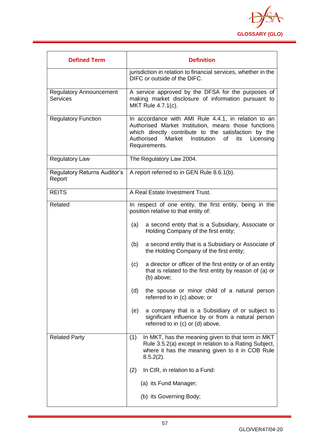

| <b>Defined Term</b>                               | <b>Definition</b>                                                                                                                                                                                                                                                                                                                                                                                                                                                                                                                                                                                                                                                                                        |
|---------------------------------------------------|----------------------------------------------------------------------------------------------------------------------------------------------------------------------------------------------------------------------------------------------------------------------------------------------------------------------------------------------------------------------------------------------------------------------------------------------------------------------------------------------------------------------------------------------------------------------------------------------------------------------------------------------------------------------------------------------------------|
|                                                   | jurisdiction in relation to financial services, whether in the<br>DIFC or outside of the DIFC.                                                                                                                                                                                                                                                                                                                                                                                                                                                                                                                                                                                                           |
| <b>Regulatory Announcement</b><br><b>Services</b> | A service approved by the DFSA for the purposes of<br>making market disclosure of information pursuant to<br>MKT Rule 4.7.1(c).                                                                                                                                                                                                                                                                                                                                                                                                                                                                                                                                                                          |
| <b>Regulatory Function</b>                        | In accordance with AMI Rule 4.4.1, in relation to an<br>Authorised Market Institution, means those functions<br>which directly contribute to the satisfaction by the<br>Authorised<br>Market<br>Institution<br>of<br>Licensing<br>its<br>Requirements.                                                                                                                                                                                                                                                                                                                                                                                                                                                   |
| <b>Regulatory Law</b>                             | The Regulatory Law 2004.                                                                                                                                                                                                                                                                                                                                                                                                                                                                                                                                                                                                                                                                                 |
| <b>Regulatory Returns Auditor's</b><br>Report     | A report referred to in GEN Rule 8.6.1(b).                                                                                                                                                                                                                                                                                                                                                                                                                                                                                                                                                                                                                                                               |
| <b>REITS</b>                                      | A Real Estate Investment Trust.                                                                                                                                                                                                                                                                                                                                                                                                                                                                                                                                                                                                                                                                          |
| Related                                           | In respect of one entity, the first entity, being in the<br>position relative to that entity of:<br>a second entity that is a Subsidiary, Associate or<br>(a)<br>Holding Company of the first entity;<br>a second entity that is a Subsidiary or Associate of<br>(b)<br>the Holding Company of the first entity;<br>a director or officer of the first entity or of an entity<br>(c)<br>that is related to the first entity by reason of (a) or<br>(b) above;<br>(d)<br>the spouse or minor child of a natural person<br>referred to in (c) above; or<br>a company that is a Subsidiary of or subject to<br>(e)<br>significant influence by or from a natural person<br>referred to in (c) or (d) above. |
| <b>Related Party</b>                              | (1)<br>In MKT, has the meaning given to that term in MKT<br>Rule 3.5.2(a) except in relation to a Rating Subject,<br>where it has the meaning given to it in COB Rule<br>$8.5.2(2)$ .<br>(2)<br>In CIR, in relation to a Fund:<br>(a) its Fund Manager;<br>(b) its Governing Body;                                                                                                                                                                                                                                                                                                                                                                                                                       |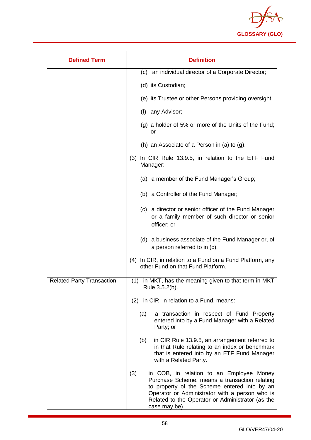

| <b>Defined Term</b>              | <b>Definition</b>                                                                                                                                                                                                                                                       |
|----------------------------------|-------------------------------------------------------------------------------------------------------------------------------------------------------------------------------------------------------------------------------------------------------------------------|
|                                  | (c) an individual director of a Corporate Director;                                                                                                                                                                                                                     |
|                                  | (d) its Custodian;                                                                                                                                                                                                                                                      |
|                                  | (e) its Trustee or other Persons providing oversight;                                                                                                                                                                                                                   |
|                                  | (f) any Advisor;                                                                                                                                                                                                                                                        |
|                                  | (g) a holder of 5% or more of the Units of the Fund;<br>or                                                                                                                                                                                                              |
|                                  | (h) an Associate of a Person in (a) to $(g)$ .                                                                                                                                                                                                                          |
|                                  | (3) In CIR Rule 13.9.5, in relation to the ETF Fund<br>Manager:                                                                                                                                                                                                         |
|                                  | (a) a member of the Fund Manager's Group;                                                                                                                                                                                                                               |
|                                  | (b) a Controller of the Fund Manager;                                                                                                                                                                                                                                   |
|                                  | (c) a director or senior officer of the Fund Manager<br>or a family member of such director or senior<br>officer; or                                                                                                                                                    |
|                                  | (d) a business associate of the Fund Manager or, of<br>a person referred to in (c).                                                                                                                                                                                     |
|                                  | (4) In CIR, in relation to a Fund on a Fund Platform, any<br>other Fund on that Fund Platform.                                                                                                                                                                          |
| <b>Related Party Transaction</b> | (1) in MKT, has the meaning given to that term in MKT<br>Rule 3.5.2(b).                                                                                                                                                                                                 |
|                                  | (2) in CIR, in relation to a Fund, means:                                                                                                                                                                                                                               |
|                                  | (a)<br>a transaction in respect of Fund Property<br>entered into by a Fund Manager with a Related<br>Party; or                                                                                                                                                          |
|                                  | in CIR Rule 13.9.5, an arrangement referred to<br>(b)<br>in that Rule relating to an index or benchmark<br>that is entered into by an ETF Fund Manager<br>with a Related Party.                                                                                         |
|                                  | (3)<br>in COB, in relation to an Employee Money<br>Purchase Scheme, means a transaction relating<br>to property of the Scheme entered into by an<br>Operator or Administrator with a person who is<br>Related to the Operator or Administrator (as the<br>case may be). |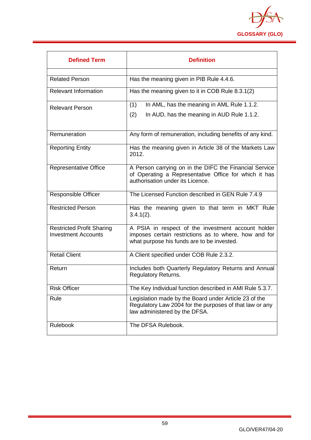

| <b>Defined Term</b>                                            | <b>Definition</b>                                                                                                                                         |
|----------------------------------------------------------------|-----------------------------------------------------------------------------------------------------------------------------------------------------------|
| <b>Related Person</b>                                          | Has the meaning given in PIB Rule 4.4.6.                                                                                                                  |
| <b>Relevant Information</b>                                    | Has the meaning given to it in COB Rule 8.3.1(2)                                                                                                          |
| <b>Relevant Person</b>                                         | In AML, has the meaning in AML Rule 1.1.2.<br>(1)<br>(2)<br>In AUD, has the meaning in AUD Rule 1.1.2.                                                    |
| Remuneration                                                   | Any form of remuneration, including benefits of any kind.                                                                                                 |
| <b>Reporting Entity</b>                                        | Has the meaning given in Article 38 of the Markets Law<br>2012.                                                                                           |
| <b>Representative Office</b>                                   | A Person carrying on in the DIFC the Financial Service<br>of Operating a Representative Office for which it has<br>authorisation under its Licence.       |
| <b>Responsible Officer</b>                                     | The Licensed Function described in GEN Rule 7.4.9                                                                                                         |
| <b>Restricted Person</b>                                       | Has the meaning given to that term in MKT Rule<br>$3.4.1(2)$ .                                                                                            |
| <b>Restricted Profit Sharing</b><br><b>Investment Accounts</b> | A PSIA in respect of the investment account holder<br>imposes certain restrictions as to where, how and for<br>what purpose his funds are to be invested. |
| <b>Retail Client</b>                                           | A Client specified under COB Rule 2.3.2.                                                                                                                  |
| Return                                                         | Includes both Quarterly Regulatory Returns and Annual<br><b>Regulatory Returns.</b>                                                                       |
| <b>Risk Officer</b>                                            | The Key Individual function described in AMI Rule 5.3.7.                                                                                                  |
| Rule                                                           | Legislation made by the Board under Article 23 of the<br>Regulatory Law 2004 for the purposes of that law or any<br>law administered by the DFSA.         |
| <b>Rulebook</b>                                                | The DFSA Rulebook.                                                                                                                                        |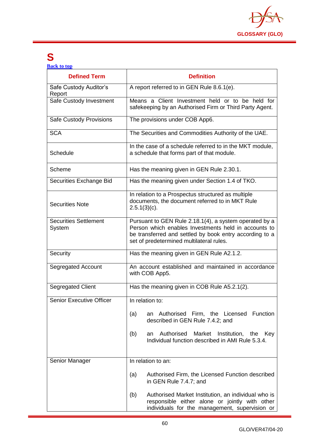

### **S**

**[Back to top](#page-1-0)**

| <b>Defined Term</b>                    | <b>Definition</b>                                                                                                                                                                                                     |
|----------------------------------------|-----------------------------------------------------------------------------------------------------------------------------------------------------------------------------------------------------------------------|
| Safe Custody Auditor's<br>Report       | A report referred to in GEN Rule 8.6.1(e).                                                                                                                                                                            |
| Safe Custody Investment                | Means a Client Investment held or to be held for<br>safekeeping by an Authorised Firm or Third Party Agent.                                                                                                           |
| Safe Custody Provisions                | The provisions under COB App6.                                                                                                                                                                                        |
| <b>SCA</b>                             | The Securities and Commodities Authority of the UAE.                                                                                                                                                                  |
| Schedule                               | In the case of a schedule referred to in the MKT module,<br>a schedule that forms part of that module.                                                                                                                |
| Scheme                                 | Has the meaning given in GEN Rule 2.30.1.                                                                                                                                                                             |
| Securities Exchange Bid                | Has the meaning given under Section 1.4 of TKO.                                                                                                                                                                       |
| <b>Securities Note</b>                 | In relation to a Prospectus structured as multiple<br>documents, the document referred to in MKT Rule<br>$2.5.1(3)(c)$ .                                                                                              |
| <b>Securities Settlement</b><br>System | Pursuant to GEN Rule 2.18.1(4), a system operated by a<br>Person which enables Investments held in accounts to<br>be transferred and settled by book entry according to a<br>set of predetermined multilateral rules. |
| Security                               | Has the meaning given in GEN Rule A2.1.2.                                                                                                                                                                             |
| Segregated Account                     | An account established and maintained in accordance<br>with COB App5.                                                                                                                                                 |
| Segregated Client                      | Has the meaning given in COB Rule A5.2.1(2).                                                                                                                                                                          |
| <b>Senior Executive Officer</b>        | In relation to:                                                                                                                                                                                                       |
|                                        | Authorised Firm, the Licensed Function<br>(a)<br>an<br>described in GEN Rule 7.4.2; and                                                                                                                               |
|                                        | Authorised<br>Market Institution, the<br>(b)<br>Key<br>an<br>Individual function described in AMI Rule 5.3.4.                                                                                                         |
| Senior Manager                         | In relation to an:                                                                                                                                                                                                    |
|                                        | (a)<br>Authorised Firm, the Licensed Function described<br>in GEN Rule 7.4.7; and                                                                                                                                     |
|                                        | Authorised Market Institution, an individual who is<br>(b)<br>responsible either alone or jointly with other<br>individuals for the management, supervision or                                                        |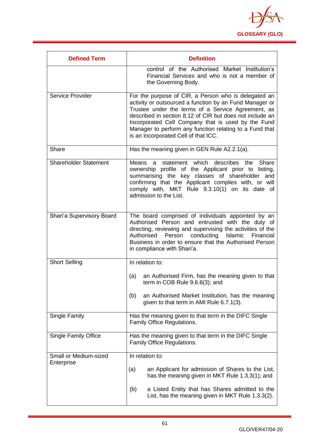

| <b>Defined Term</b>                        | <b>Definition</b>                                                                                                                                                                                                                                                                                                                                                                          |
|--------------------------------------------|--------------------------------------------------------------------------------------------------------------------------------------------------------------------------------------------------------------------------------------------------------------------------------------------------------------------------------------------------------------------------------------------|
|                                            | control of the Authorised Market Institution's<br>Financial Services and who is not a member of<br>the Governing Body.                                                                                                                                                                                                                                                                     |
| Service Provider                           | For the purpose of CIR, a Person who is delegated an<br>activity or outsourced a function by an Fund Manager or<br>Trustee under the terms of a Service Agreement, as<br>described in section 8.12 of CIR but does not include an<br>Incorporated Cell Company that is used by the Fund<br>Manager to perform any function relating to a Fund that<br>is an Incorporated Cell of that ICC. |
| Share                                      | Has the meaning given in GEN Rule A2.2.1(a).                                                                                                                                                                                                                                                                                                                                               |
| <b>Shareholder Statement</b>               | statement which<br>describes<br>Means<br>Share<br>the<br>a.<br>ownership profile of the Applicant prior to listing,<br>summarising the key classes of shareholder and<br>confirming that the Applicant complies with, or will<br>comply with, MKT Rule 9.3.10(1) on its date of<br>admission to the List.                                                                                  |
| Shari'a Supervisory Board                  | The board comprised of individuals appointed by an<br>Authorised Person and entrusted with the duty of<br>directing, reviewing and supervising the activities of the<br>Authorised<br>Person<br>conducting<br>Islamic<br>Financial<br>Business in order to ensure that the Authorised Person<br>in compliance with Shari'a.                                                                |
| <b>Short Selling</b>                       | In relation to:                                                                                                                                                                                                                                                                                                                                                                            |
|                                            | an Authorised Firm, has the meaning given to that<br>(a)<br>term in COB Rule 9.6.6(3); and                                                                                                                                                                                                                                                                                                 |
|                                            | an Authorised Market Institution, has the meaning<br>(b)<br>given to that term in AMI Rule 6.7.1(3).                                                                                                                                                                                                                                                                                       |
| Single Family                              | Has the meaning given to that term in the DIFC Single<br>Family Office Regulations.                                                                                                                                                                                                                                                                                                        |
| <b>Single Family Office</b>                | Has the meaning given to that term in the DIFC Single<br>Family Office Regulations.                                                                                                                                                                                                                                                                                                        |
| <b>Small or Medium-sized</b><br>Enterprise | In relation to:                                                                                                                                                                                                                                                                                                                                                                            |
|                                            | an Applicant for admission of Shares to the List,<br>(a)<br>has the meaning given in MKT Rule 1.3.3(1); and                                                                                                                                                                                                                                                                                |
|                                            | a Listed Entity that has Shares admitted to the<br>(b)<br>List, has the meaning given in MKT Rule 1.3.3(2).                                                                                                                                                                                                                                                                                |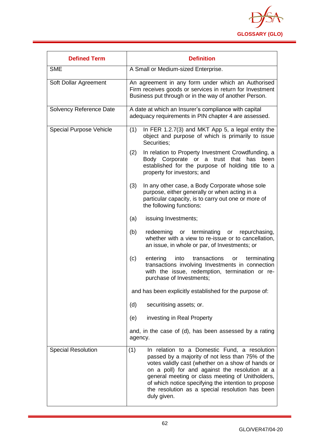

| <b>Defined Term</b>            | <b>Definition</b>                                                                                                                                                                                                                                                                                                                                                                           |
|--------------------------------|---------------------------------------------------------------------------------------------------------------------------------------------------------------------------------------------------------------------------------------------------------------------------------------------------------------------------------------------------------------------------------------------|
| <b>SME</b>                     | A Small or Medium-sized Enterprise.                                                                                                                                                                                                                                                                                                                                                         |
| Soft Dollar Agreement          | An agreement in any form under which an Authorised<br>Firm receives goods or services in return for Investment<br>Business put through or in the way of another Person.                                                                                                                                                                                                                     |
| Solvency Reference Date        | A date at which an Insurer's compliance with capital<br>adequacy requirements in PIN chapter 4 are assessed.                                                                                                                                                                                                                                                                                |
| <b>Special Purpose Vehicle</b> | In FER 1.2.7(3) and MKT App 5, a legal entity the<br>(1)<br>object and purpose of which is primarily to issue<br>Securities;                                                                                                                                                                                                                                                                |
|                                | In relation to Property Investment Crowdfunding, a<br>(2)<br>Body Corporate or a trust that has been<br>established for the purpose of holding title to a<br>property for investors; and                                                                                                                                                                                                    |
|                                | (3)<br>In any other case, a Body Corporate whose sole<br>purpose, either generally or when acting in a<br>particular capacity, is to carry out one or more of<br>the following functions:                                                                                                                                                                                                   |
|                                | issuing Investments;<br>(a)                                                                                                                                                                                                                                                                                                                                                                 |
|                                | redeeming<br>or terminating<br>(b)<br>repurchasing,<br>or<br>whether with a view to re-issue or to cancellation,<br>an issue, in whole or par, of Investments; or                                                                                                                                                                                                                           |
|                                | (c)<br>transactions<br>entering<br>into<br>terminating<br>or<br>transactions involving Investments in connection<br>with the issue, redemption, termination or re-<br>purchase of Investments;                                                                                                                                                                                              |
|                                | and has been explicitly established for the purpose of:                                                                                                                                                                                                                                                                                                                                     |
|                                | (d)<br>securitising assets; or.                                                                                                                                                                                                                                                                                                                                                             |
|                                | investing in Real Property<br>(e)                                                                                                                                                                                                                                                                                                                                                           |
|                                | and, in the case of (d), has been assessed by a rating<br>agency.                                                                                                                                                                                                                                                                                                                           |
| <b>Special Resolution</b>      | In relation to a Domestic Fund, a resolution<br>(1)<br>passed by a majority of not less than 75% of the<br>votes validly cast (whether on a show of hands or<br>on a poll) for and against the resolution at a<br>general meeting or class meeting of Unitholders,<br>of which notice specifying the intention to propose<br>the resolution as a special resolution has been<br>duly given. |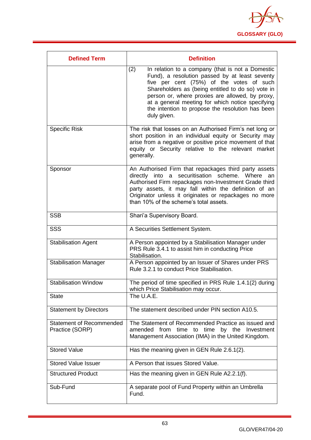

| <b>Defined Term</b>                                | <b>Definition</b>                                                                                                                                                                                                                                                                                                                                                                    |
|----------------------------------------------------|--------------------------------------------------------------------------------------------------------------------------------------------------------------------------------------------------------------------------------------------------------------------------------------------------------------------------------------------------------------------------------------|
|                                                    | In relation to a company (that is not a Domestic<br>(2)<br>Fund), a resolution passed by at least seventy<br>five per cent (75%) of the votes of such<br>Shareholders as (being entitled to do so) vote in<br>person or, where proxies are allowed, by proxy,<br>at a general meeting for which notice specifying<br>the intention to propose the resolution has been<br>duly given. |
| <b>Specific Risk</b>                               | The risk that losses on an Authorised Firm's net long or<br>short position in an individual equity or Security may<br>arise from a negative or positive price movement of that<br>equity or Security relative to the relevant market<br>generally.                                                                                                                                   |
| Sponsor                                            | An Authorised Firm that repackages third party assets<br>directly into a securitisation scheme. Where an<br>Authorised Firm repackages non-Investment Grade third<br>party assets, it may fall within the definition of an<br>Originator unless it originates or repackages no more<br>than 10% of the scheme's total assets.                                                        |
| <b>SSB</b>                                         | Shari'a Supervisory Board.                                                                                                                                                                                                                                                                                                                                                           |
| <b>SSS</b>                                         | A Securities Settlement System.                                                                                                                                                                                                                                                                                                                                                      |
| <b>Stabilisation Agent</b>                         | A Person appointed by a Stabilisation Manager under<br>PRS Rule 3.4.1 to assist him in conducting Price<br>Stabilisation.                                                                                                                                                                                                                                                            |
| <b>Stabilisation Manager</b>                       | A Person appointed by an Issuer of Shares under PRS<br>Rule 3.2.1 to conduct Price Stabilisation.                                                                                                                                                                                                                                                                                    |
| <b>Stabilisation Window</b>                        | The period of time specified in PRS Rule 1.4.1(2) during<br>which Price Stabilisation may occur.                                                                                                                                                                                                                                                                                     |
| <b>State</b>                                       | The U.A.E.                                                                                                                                                                                                                                                                                                                                                                           |
| <b>Statement by Directors</b>                      | The statement described under PIN section A10.5.                                                                                                                                                                                                                                                                                                                                     |
| <b>Statement of Recommended</b><br>Practice (SORP) | The Statement of Recommended Practice as issued and<br>amended from time to time by the Investment<br>Management Association (IMA) in the United Kingdom.                                                                                                                                                                                                                            |
| <b>Stored Value</b>                                | Has the meaning given in GEN Rule 2.6.1(2).                                                                                                                                                                                                                                                                                                                                          |
| <b>Stored Value Issuer</b>                         | A Person that issues Stored Value.                                                                                                                                                                                                                                                                                                                                                   |
| <b>Structured Product</b>                          | Has the meaning given in GEN Rule A2.2.1(f).                                                                                                                                                                                                                                                                                                                                         |
| Sub-Fund                                           | A separate pool of Fund Property within an Umbrella<br>Fund.                                                                                                                                                                                                                                                                                                                         |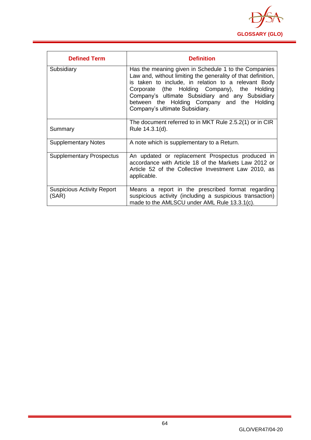

| <b>Defined Term</b>                        | <b>Definition</b>                                                                                                                                                                                                                                                                                                                                                |
|--------------------------------------------|------------------------------------------------------------------------------------------------------------------------------------------------------------------------------------------------------------------------------------------------------------------------------------------------------------------------------------------------------------------|
| Subsidiary                                 | Has the meaning given in Schedule 1 to the Companies<br>Law and, without limiting the generality of that definition,<br>is taken to include, in relation to a relevant Body<br>Corporate (the Holding Company), the Holding<br>Company's ultimate Subsidiary and any Subsidiary<br>between the Holding Company and the Holding<br>Company's ultimate Subsidiary. |
| Summary                                    | The document referred to in MKT Rule 2.5.2(1) or in CIR<br>Rule 14.3.1(d).                                                                                                                                                                                                                                                                                       |
| <b>Supplementary Notes</b>                 | A note which is supplementary to a Return.                                                                                                                                                                                                                                                                                                                       |
| <b>Supplementary Prospectus</b>            | An updated or replacement Prospectus produced in<br>accordance with Article 18 of the Markets Law 2012 or<br>Article 52 of the Collective Investment Law 2010, as<br>applicable.                                                                                                                                                                                 |
| <b>Suspicious Activity Report</b><br>(SAR) | Means a report in the prescribed format regarding<br>suspicious activity (including a suspicious transaction)<br>made to the AMLSCU under AML Rule 13.3.1(c).                                                                                                                                                                                                    |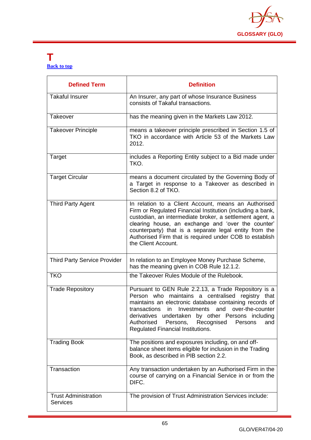

#### **T [Back to top](#page-1-0)**

| <b>Defined Term</b>                            | <b>Definition</b>                                                                                                                                                                                                                                                                                                                                                                |
|------------------------------------------------|----------------------------------------------------------------------------------------------------------------------------------------------------------------------------------------------------------------------------------------------------------------------------------------------------------------------------------------------------------------------------------|
| <b>Takaful Insurer</b>                         | An Insurer, any part of whose Insurance Business<br>consists of Takaful transactions.                                                                                                                                                                                                                                                                                            |
| Takeover                                       | has the meaning given in the Markets Law 2012.                                                                                                                                                                                                                                                                                                                                   |
| <b>Takeover Principle</b>                      | means a takeover principle prescribed in Section 1.5 of<br>TKO in accordance with Article 53 of the Markets Law<br>2012.                                                                                                                                                                                                                                                         |
| Target                                         | includes a Reporting Entity subject to a Bid made under<br>TKO.                                                                                                                                                                                                                                                                                                                  |
| <b>Target Circular</b>                         | means a document circulated by the Governing Body of<br>a Target in response to a Takeover as described in<br>Section 8.2 of TKO.                                                                                                                                                                                                                                                |
| <b>Third Party Agent</b>                       | In relation to a Client Account, means an Authorised<br>Firm or Regulated Financial Institution (including a bank,<br>custodian, an intermediate broker, a settlement agent, a<br>clearing house, an exchange and 'over the counter'<br>counterparty) that is a separate legal entity from the<br>Authorised Firm that is required under COB to establish<br>the Client Account. |
| <b>Third Party Service Provider</b>            | In relation to an Employee Money Purchase Scheme,<br>has the meaning given in COB Rule 12.1.2.                                                                                                                                                                                                                                                                                   |
| <b>TKO</b>                                     | the Takeover Rules Module of the Rulebook.                                                                                                                                                                                                                                                                                                                                       |
| <b>Trade Repository</b>                        | Pursuant to GEN Rule 2.2.13, a Trade Repository is a<br>Person who maintains a centralised registry that<br>maintains an electronic database containing records of<br>transactions in Investments and over-the-counter<br>derivatives undertaken by other Persons including<br>Recognised<br>Authorised<br>Persons,<br>Persons<br>and<br>Regulated Financial Institutions.       |
| <b>Trading Book</b>                            | The positions and exposures including, on and off-<br>balance sheet items eligible for inclusion in the Trading<br>Book, as described in PIB section 2.2.                                                                                                                                                                                                                        |
| Transaction                                    | Any transaction undertaken by an Authorised Firm in the<br>course of carrying on a Financial Service in or from the<br>DIFC.                                                                                                                                                                                                                                                     |
| <b>Trust Administration</b><br><b>Services</b> | The provision of Trust Administration Services include:                                                                                                                                                                                                                                                                                                                          |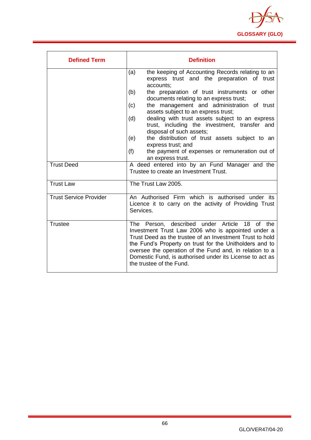

| <b>Defined Term</b>           | <b>Definition</b>                                                                                                                                                                                                                                                                                                                                                                                                                                                                                                                                                                                                     |
|-------------------------------|-----------------------------------------------------------------------------------------------------------------------------------------------------------------------------------------------------------------------------------------------------------------------------------------------------------------------------------------------------------------------------------------------------------------------------------------------------------------------------------------------------------------------------------------------------------------------------------------------------------------------|
|                               | the keeping of Accounting Records relating to an<br>(a)<br>express trust and the preparation of trust<br>accounts:<br>(b)<br>the preparation of trust instruments or other<br>documents relating to an express trust;<br>the management and administration of trust<br>(c)<br>assets subject to an express trust;<br>dealing with trust assets subject to an express<br>(d)<br>trust, including the investment, transfer and<br>disposal of such assets;<br>the distribution of trust assets subject to an<br>(e)<br>express trust; and<br>(f)<br>the payment of expenses or remuneration out of<br>an express trust. |
| <b>Trust Deed</b>             | A deed entered into by an Fund Manager and the<br>Trustee to create an Investment Trust.                                                                                                                                                                                                                                                                                                                                                                                                                                                                                                                              |
| <b>Trust Law</b>              | The Trust Law 2005.                                                                                                                                                                                                                                                                                                                                                                                                                                                                                                                                                                                                   |
| <b>Trust Service Provider</b> | An Authorised Firm which is authorised under its<br>Licence it to carry on the activity of Providing Trust<br>Services.                                                                                                                                                                                                                                                                                                                                                                                                                                                                                               |
| <b>Trustee</b>                | The Person, described under Article<br>18<br>0f<br>the<br>Investment Trust Law 2006 who is appointed under a<br>Trust Deed as the trustee of an Investment Trust to hold<br>the Fund's Property on trust for the Unitholders and to<br>oversee the operation of the Fund and, in relation to a<br>Domestic Fund, is authorised under its License to act as<br>the trustee of the Fund.                                                                                                                                                                                                                                |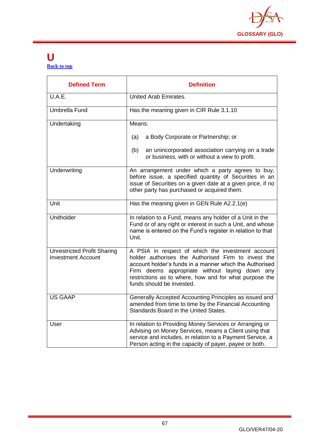

#### **U [Back to top](#page-1-0)**

| <b>Defined Term</b>                                             | <b>Definition</b>                                                                                                                                                                                                                                                                                            |
|-----------------------------------------------------------------|--------------------------------------------------------------------------------------------------------------------------------------------------------------------------------------------------------------------------------------------------------------------------------------------------------------|
| U.A.E.                                                          | United Arab Emirates.                                                                                                                                                                                                                                                                                        |
| <b>Umbrella Fund</b>                                            | Has the meaning given in CIR Rule 3.1.10                                                                                                                                                                                                                                                                     |
| Undertaking                                                     | Means:                                                                                                                                                                                                                                                                                                       |
|                                                                 | a Body Corporate or Partnership; or<br>(a)                                                                                                                                                                                                                                                                   |
|                                                                 | an unincorporated association carrying on a trade<br>(b)<br>or business, with or without a view to profit.                                                                                                                                                                                                   |
| Underwriting                                                    | An arrangement under which a party agrees to buy,<br>before issue, a specified quantity of Securities in an<br>issue of Securities on a given date at a given price, if no<br>other party has purchased or acquired them.                                                                                    |
| Unit                                                            | Has the meaning given in GEN Rule A2.2.1(e)                                                                                                                                                                                                                                                                  |
| Unitholder                                                      | In relation to a Fund, means any holder of a Unit in the<br>Fund or of any right or interest in such a Unit, and whose<br>name is entered on the Fund's register in relation to that<br>Unit.                                                                                                                |
| <b>Unrestricted Profit Sharing</b><br><b>Investment Account</b> | A PSIA in respect of which the investment account<br>holder authorises the Authorised Firm to invest the<br>account holder's funds in a manner which the Authorised<br>Firm deems appropriate without laying down any<br>restrictions as to where, how and for what purpose the<br>funds should be invested. |
| US GAAP                                                         | Generally Accepted Accounting Principles as issued and<br>amended from time to time by the Financial Accounting<br>Standards Board in the United States.                                                                                                                                                     |
| User                                                            | In relation to Providing Money Services or Arranging or<br>Advising on Money Services, means a Client using that<br>service and includes, in relation to a Payment Service, a<br>Person acting in the capacity of payer, payee or both.                                                                      |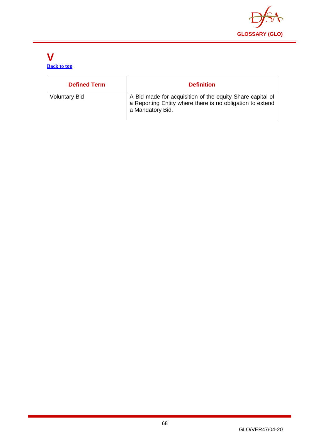

#### **V [Back to top](#page-1-0)**

| <b>Defined Term</b>  | <b>Definition</b>                                                                                                                          |
|----------------------|--------------------------------------------------------------------------------------------------------------------------------------------|
| <b>Voluntary Bid</b> | A Bid made for acquisition of the equity Share capital of<br>a Reporting Entity where there is no obligation to extend<br>a Mandatory Bid. |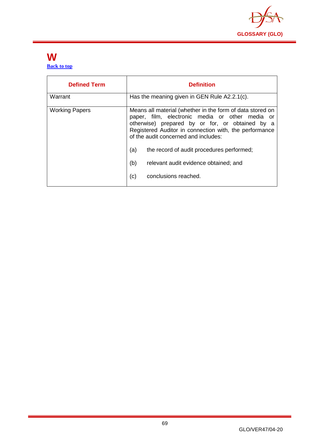

#### **W [Back to top](#page-1-0)**

| <b>Defined Term</b>   | <b>Definition</b>                                                                                                                                                                                                                                                                                                                                                                                    |
|-----------------------|------------------------------------------------------------------------------------------------------------------------------------------------------------------------------------------------------------------------------------------------------------------------------------------------------------------------------------------------------------------------------------------------------|
| Warrant               | Has the meaning given in GEN Rule A2.2.1(c).                                                                                                                                                                                                                                                                                                                                                         |
| <b>Working Papers</b> | Means all material (whether in the form of data stored on<br>paper, film, electronic media or other media or<br>otherwise) prepared by or for, or obtained by a<br>Registered Auditor in connection with, the performance<br>of the audit concerned and includes:<br>(a)<br>the record of audit procedures performed;<br>(b)<br>relevant audit evidence obtained; and<br>(c)<br>conclusions reached. |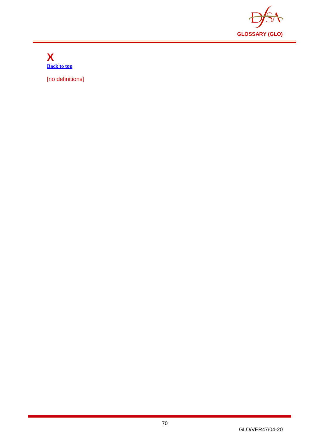

**X [Back to top](#page-1-0)**

[no definitions]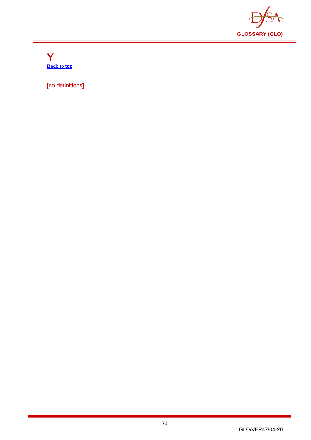

**Y [Back to top](#page-1-0)**

[no definitions]